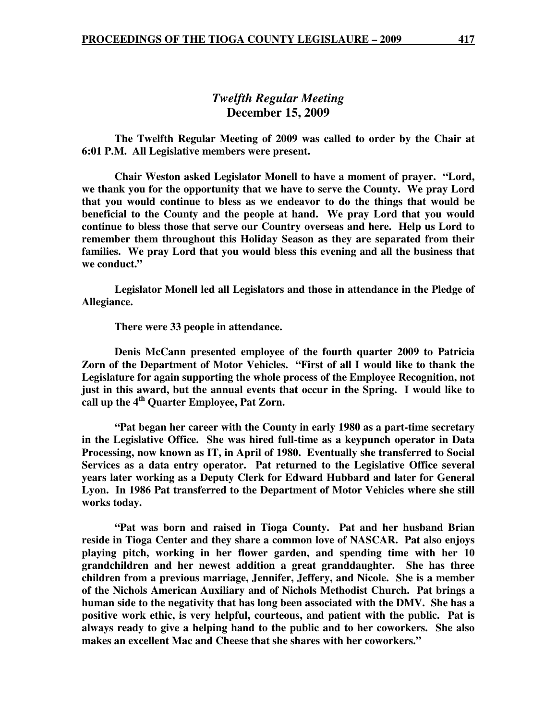# *Twelfth Regular Meeting*  **December 15, 2009**

 **The Twelfth Regular Meeting of 2009 was called to order by the Chair at 6:01 P.M. All Legislative members were present.** 

**Chair Weston asked Legislator Monell to have a moment of prayer. "Lord, we thank you for the opportunity that we have to serve the County. We pray Lord that you would continue to bless as we endeavor to do the things that would be beneficial to the County and the people at hand. We pray Lord that you would continue to bless those that serve our Country overseas and here. Help us Lord to remember them throughout this Holiday Season as they are separated from their families. We pray Lord that you would bless this evening and all the business that we conduct."** 

 **Legislator Monell led all Legislators and those in attendance in the Pledge of Allegiance.** 

 **There were 33 people in attendance.** 

 **Denis McCann presented employee of the fourth quarter 2009 to Patricia Zorn of the Department of Motor Vehicles. "First of all I would like to thank the Legislature for again supporting the whole process of the Employee Recognition, not just in this award, but the annual events that occur in the Spring. I would like to call up the 4th Quarter Employee, Pat Zorn.** 

 **"Pat began her career with the County in early 1980 as a part-time secretary in the Legislative Office. She was hired full-time as a keypunch operator in Data Processing, now known as IT, in April of 1980. Eventually she transferred to Social Services as a data entry operator. Pat returned to the Legislative Office several years later working as a Deputy Clerk for Edward Hubbard and later for General Lyon. In 1986 Pat transferred to the Department of Motor Vehicles where she still works today.** 

 **"Pat was born and raised in Tioga County. Pat and her husband Brian reside in Tioga Center and they share a common love of NASCAR. Pat also enjoys playing pitch, working in her flower garden, and spending time with her 10 grandchildren and her newest addition a great granddaughter. She has three children from a previous marriage, Jennifer, Jeffery, and Nicole. She is a member of the Nichols American Auxiliary and of Nichols Methodist Church. Pat brings a human side to the negativity that has long been associated with the DMV. She has a positive work ethic, is very helpful, courteous, and patient with the public. Pat is always ready to give a helping hand to the public and to her coworkers. She also makes an excellent Mac and Cheese that she shares with her coworkers."**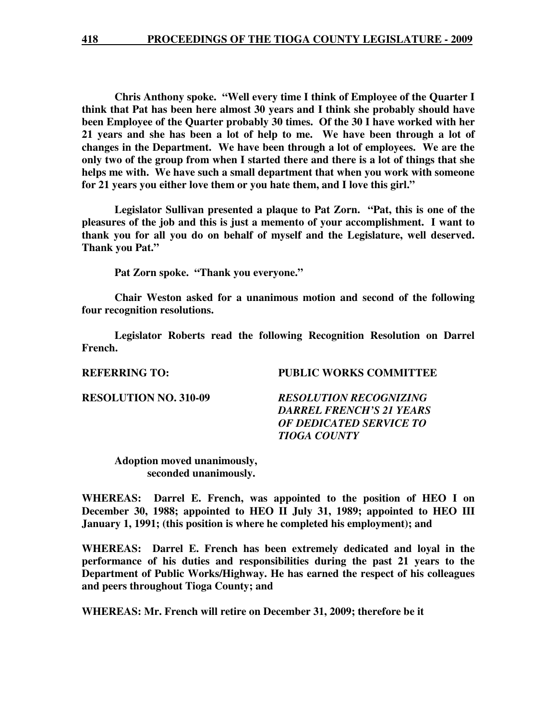**Chris Anthony spoke. "Well every time I think of Employee of the Quarter I think that Pat has been here almost 30 years and I think she probably should have been Employee of the Quarter probably 30 times. Of the 30 I have worked with her 21 years and she has been a lot of help to me. We have been through a lot of changes in the Department. We have been through a lot of employees. We are the only two of the group from when I started there and there is a lot of things that she helps me with. We have such a small department that when you work with someone for 21 years you either love them or you hate them, and I love this girl."** 

 **Legislator Sullivan presented a plaque to Pat Zorn. "Pat, this is one of the pleasures of the job and this is just a memento of your accomplishment. I want to thank you for all you do on behalf of myself and the Legislature, well deserved. Thank you Pat."** 

 **Pat Zorn spoke. "Thank you everyone."** 

 **Chair Weston asked for a unanimous motion and second of the following four recognition resolutions.** 

 **Legislator Roberts read the following Recognition Resolution on Darrel French.** 

**REFERRING TO: PUBLIC WORKS COMMITTEE** 

**RESOLUTION NO. 310-09** *RESOLUTION RECOGNIZING DARREL FRENCH'S 21 YEARS OF DEDICATED SERVICE TO TIOGA COUNTY* 

 **Adoption moved unanimously, seconded unanimously.** 

**WHEREAS: Darrel E. French, was appointed to the position of HEO I on December 30, 1988; appointed to HEO II July 31, 1989; appointed to HEO III January 1, 1991; (this position is where he completed his employment); and** 

**WHEREAS: Darrel E. French has been extremely dedicated and loyal in the performance of his duties and responsibilities during the past 21 years to the Department of Public Works/Highway. He has earned the respect of his colleagues and peers throughout Tioga County; and** 

**WHEREAS: Mr. French will retire on December 31, 2009; therefore be it**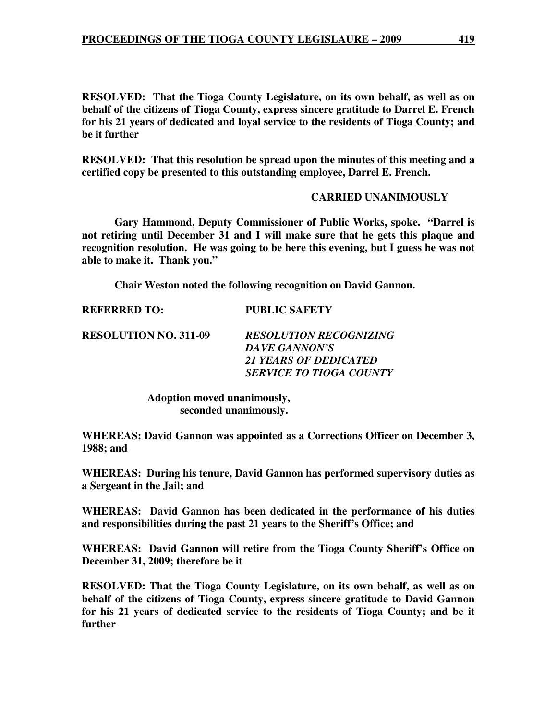**RESOLVED: That the Tioga County Legislature, on its own behalf, as well as on behalf of the citizens of Tioga County, express sincere gratitude to Darrel E. French for his 21 years of dedicated and loyal service to the residents of Tioga County; and be it further** 

**RESOLVED: That this resolution be spread upon the minutes of this meeting and a certified copy be presented to this outstanding employee, Darrel E. French.** 

#### **CARRIED UNANIMOUSLY**

 **Gary Hammond, Deputy Commissioner of Public Works, spoke. "Darrel is not retiring until December 31 and I will make sure that he gets this plaque and recognition resolution. He was going to be here this evening, but I guess he was not able to make it. Thank you."** 

 **Chair Weston noted the following recognition on David Gannon.** 

**RESOLUTION NO. 311-09** *RESOLUTION RECOGNIZING DAVE GANNON'S 21 YEARS OF DEDICATED SERVICE TO TIOGA COUNTY* 

> **Adoption moved unanimously, seconded unanimously.**

**REFERRED TO: PUBLIC SAFETY** 

**WHEREAS: David Gannon was appointed as a Corrections Officer on December 3, 1988; and** 

**WHEREAS: During his tenure, David Gannon has performed supervisory duties as a Sergeant in the Jail; and** 

**WHEREAS: David Gannon has been dedicated in the performance of his duties and responsibilities during the past 21 years to the Sheriff's Office; and** 

**WHEREAS: David Gannon will retire from the Tioga County Sheriff's Office on December 31, 2009; therefore be it** 

**RESOLVED: That the Tioga County Legislature, on its own behalf, as well as on behalf of the citizens of Tioga County, express sincere gratitude to David Gannon for his 21 years of dedicated service to the residents of Tioga County; and be it further**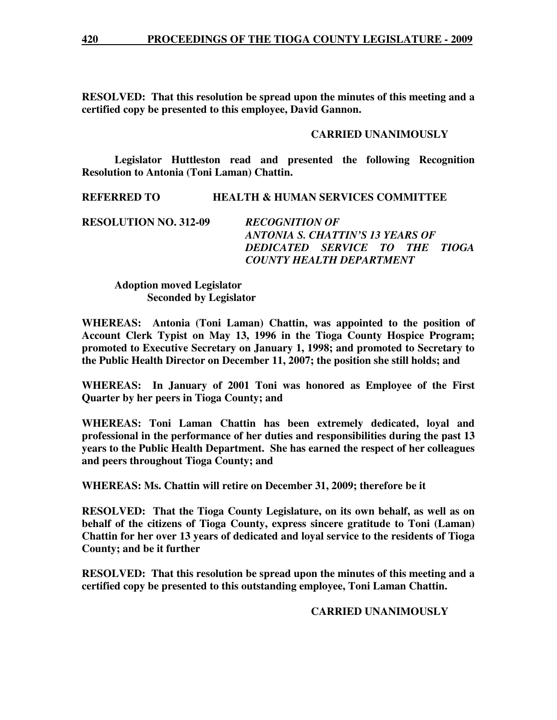**RESOLVED: That this resolution be spread upon the minutes of this meeting and a certified copy be presented to this employee, David Gannon.** 

# **CARRIED UNANIMOUSLY**

 **Legislator Huttleston read and presented the following Recognition Resolution to Antonia (Toni Laman) Chattin.** 

**REFERRED TO HEALTH & HUMAN SERVICES COMMITTEE** 

**RESOLUTION NO. 312-09** *RECOGNITION OF ANTONIA S. CHATTIN'S 13 YEARS OF DEDICATED SERVICE TO THE TIOGA COUNTY HEALTH DEPARTMENT* 

 **Adoption moved Legislator Seconded by Legislator** 

**WHEREAS: Antonia (Toni Laman) Chattin, was appointed to the position of Account Clerk Typist on May 13, 1996 in the Tioga County Hospice Program; promoted to Executive Secretary on January 1, 1998; and promoted to Secretary to the Public Health Director on December 11, 2007; the position she still holds; and** 

**WHEREAS: In January of 2001 Toni was honored as Employee of the First Quarter by her peers in Tioga County; and** 

**WHEREAS: Toni Laman Chattin has been extremely dedicated, loyal and professional in the performance of her duties and responsibilities during the past 13 years to the Public Health Department. She has earned the respect of her colleagues and peers throughout Tioga County; and** 

**WHEREAS: Ms. Chattin will retire on December 31, 2009; therefore be it** 

**RESOLVED: That the Tioga County Legislature, on its own behalf, as well as on behalf of the citizens of Tioga County, express sincere gratitude to Toni (Laman) Chattin for her over 13 years of dedicated and loyal service to the residents of Tioga County; and be it further** 

**RESOLVED: That this resolution be spread upon the minutes of this meeting and a certified copy be presented to this outstanding employee, Toni Laman Chattin.** 

# **CARRIED UNANIMOUSLY**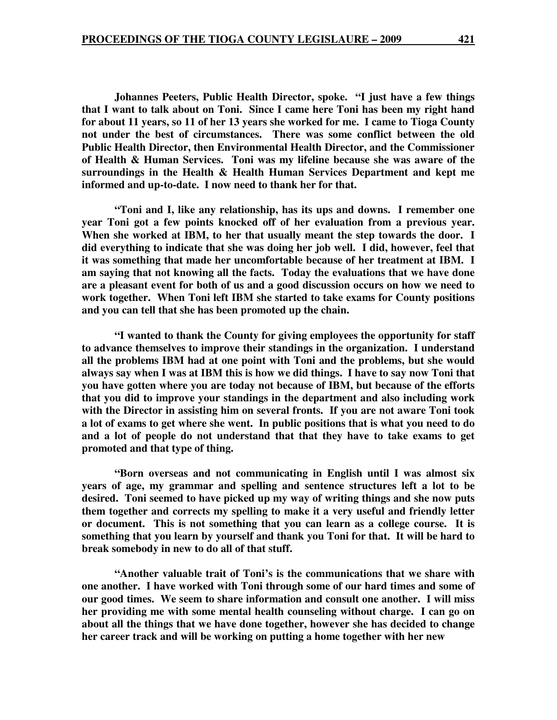**Johannes Peeters, Public Health Director, spoke. "I just have a few things that I want to talk about on Toni. Since I came here Toni has been my right hand for about 11 years, so 11 of her 13 years she worked for me. I came to Tioga County not under the best of circumstances. There was some conflict between the old Public Health Director, then Environmental Health Director, and the Commissioner of Health & Human Services. Toni was my lifeline because she was aware of the surroundings in the Health & Health Human Services Department and kept me informed and up-to-date. I now need to thank her for that.** 

 **"Toni and I, like any relationship, has its ups and downs. I remember one year Toni got a few points knocked off of her evaluation from a previous year. When she worked at IBM, to her that usually meant the step towards the door. I did everything to indicate that she was doing her job well. I did, however, feel that it was something that made her uncomfortable because of her treatment at IBM. I am saying that not knowing all the facts. Today the evaluations that we have done are a pleasant event for both of us and a good discussion occurs on how we need to work together. When Toni left IBM she started to take exams for County positions and you can tell that she has been promoted up the chain.** 

 **"I wanted to thank the County for giving employees the opportunity for staff to advance themselves to improve their standings in the organization. I understand all the problems IBM had at one point with Toni and the problems, but she would always say when I was at IBM this is how we did things. I have to say now Toni that you have gotten where you are today not because of IBM, but because of the efforts that you did to improve your standings in the department and also including work with the Director in assisting him on several fronts. If you are not aware Toni took a lot of exams to get where she went. In public positions that is what you need to do and a lot of people do not understand that that they have to take exams to get promoted and that type of thing.** 

 **"Born overseas and not communicating in English until I was almost six years of age, my grammar and spelling and sentence structures left a lot to be desired. Toni seemed to have picked up my way of writing things and she now puts them together and corrects my spelling to make it a very useful and friendly letter or document. This is not something that you can learn as a college course. It is something that you learn by yourself and thank you Toni for that. It will be hard to break somebody in new to do all of that stuff.** 

 **"Another valuable trait of Toni's is the communications that we share with one another. I have worked with Toni through some of our hard times and some of our good times. We seem to share information and consult one another. I will miss her providing me with some mental health counseling without charge. I can go on about all the things that we have done together, however she has decided to change her career track and will be working on putting a home together with her new**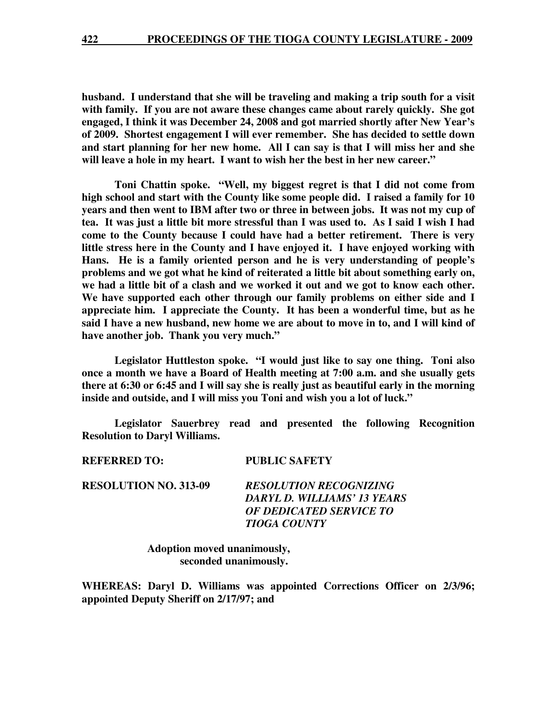**husband. I understand that she will be traveling and making a trip south for a visit with family. If you are not aware these changes came about rarely quickly. She got engaged, I think it was December 24, 2008 and got married shortly after New Year's of 2009. Shortest engagement I will ever remember. She has decided to settle down and start planning for her new home. All I can say is that I will miss her and she will leave a hole in my heart. I want to wish her the best in her new career."** 

 **Toni Chattin spoke. "Well, my biggest regret is that I did not come from high school and start with the County like some people did. I raised a family for 10 years and then went to IBM after two or three in between jobs. It was not my cup of tea. It was just a little bit more stressful than I was used to. As I said I wish I had come to the County because I could have had a better retirement. There is very little stress here in the County and I have enjoyed it. I have enjoyed working with Hans. He is a family oriented person and he is very understanding of people's problems and we got what he kind of reiterated a little bit about something early on, we had a little bit of a clash and we worked it out and we got to know each other. We have supported each other through our family problems on either side and I appreciate him. I appreciate the County. It has been a wonderful time, but as he said I have a new husband, new home we are about to move in to, and I will kind of have another job. Thank you very much."** 

 **Legislator Huttleston spoke. "I would just like to say one thing. Toni also once a month we have a Board of Health meeting at 7:00 a.m. and she usually gets there at 6:30 or 6:45 and I will say she is really just as beautiful early in the morning inside and outside, and I will miss you Toni and wish you a lot of luck."** 

 **Legislator Sauerbrey read and presented the following Recognition Resolution to Daryl Williams.** 

| REFERRED TO:                 | <b>PUBLIC SAFETY</b>                                                                                           |
|------------------------------|----------------------------------------------------------------------------------------------------------------|
| <b>RESOLUTION NO. 313-09</b> | <b>RESOLUTION RECOGNIZING</b><br>DARYL D. WILLIAMS' 13 YEARS<br>OF DEDICATED SERVICE TO<br><b>TIOGA COUNTY</b> |
|                              |                                                                                                                |

 **Adoption moved unanimously, seconded unanimously.** 

**WHEREAS: Daryl D. Williams was appointed Corrections Officer on 2/3/96; appointed Deputy Sheriff on 2/17/97; and**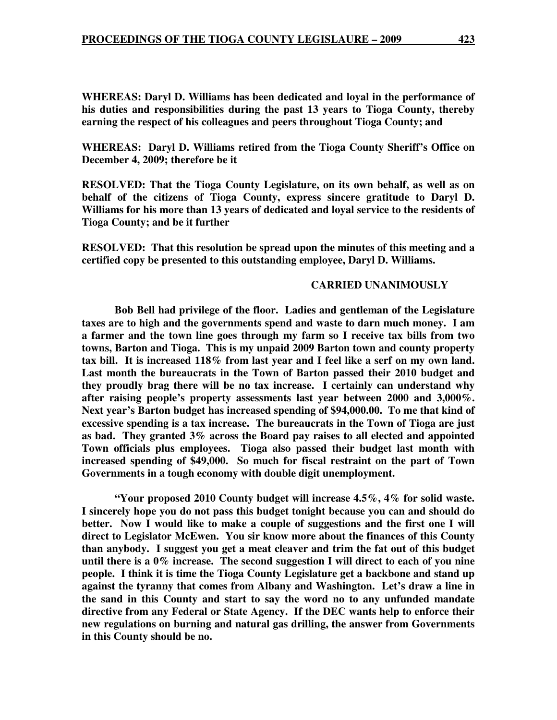**WHEREAS: Daryl D. Williams has been dedicated and loyal in the performance of his duties and responsibilities during the past 13 years to Tioga County, thereby earning the respect of his colleagues and peers throughout Tioga County; and** 

**WHEREAS: Daryl D. Williams retired from the Tioga County Sheriff's Office on December 4, 2009; therefore be it** 

**RESOLVED: That the Tioga County Legislature, on its own behalf, as well as on behalf of the citizens of Tioga County, express sincere gratitude to Daryl D. Williams for his more than 13 years of dedicated and loyal service to the residents of Tioga County; and be it further** 

**RESOLVED: That this resolution be spread upon the minutes of this meeting and a certified copy be presented to this outstanding employee, Daryl D. Williams.** 

## **CARRIED UNANIMOUSLY**

 **Bob Bell had privilege of the floor. Ladies and gentleman of the Legislature taxes are to high and the governments spend and waste to darn much money. I am a farmer and the town line goes through my farm so I receive tax bills from two towns, Barton and Tioga. This is my unpaid 2009 Barton town and county property tax bill. It is increased 118% from last year and I feel like a serf on my own land. Last month the bureaucrats in the Town of Barton passed their 2010 budget and they proudly brag there will be no tax increase. I certainly can understand why after raising people's property assessments last year between 2000 and 3,000%. Next year's Barton budget has increased spending of \$94,000.00. To me that kind of excessive spending is a tax increase. The bureaucrats in the Town of Tioga are just as bad. They granted 3% across the Board pay raises to all elected and appointed Town officials plus employees. Tioga also passed their budget last month with increased spending of \$49,000. So much for fiscal restraint on the part of Town Governments in a tough economy with double digit unemployment.** 

 **"Your proposed 2010 County budget will increase 4.5%, 4% for solid waste. I sincerely hope you do not pass this budget tonight because you can and should do better. Now I would like to make a couple of suggestions and the first one I will direct to Legislator McEwen. You sir know more about the finances of this County than anybody. I suggest you get a meat cleaver and trim the fat out of this budget until there is a 0% increase. The second suggestion I will direct to each of you nine people. I think it is time the Tioga County Legislature get a backbone and stand up against the tyranny that comes from Albany and Washington. Let's draw a line in the sand in this County and start to say the word no to any unfunded mandate directive from any Federal or State Agency. If the DEC wants help to enforce their new regulations on burning and natural gas drilling, the answer from Governments in this County should be no.**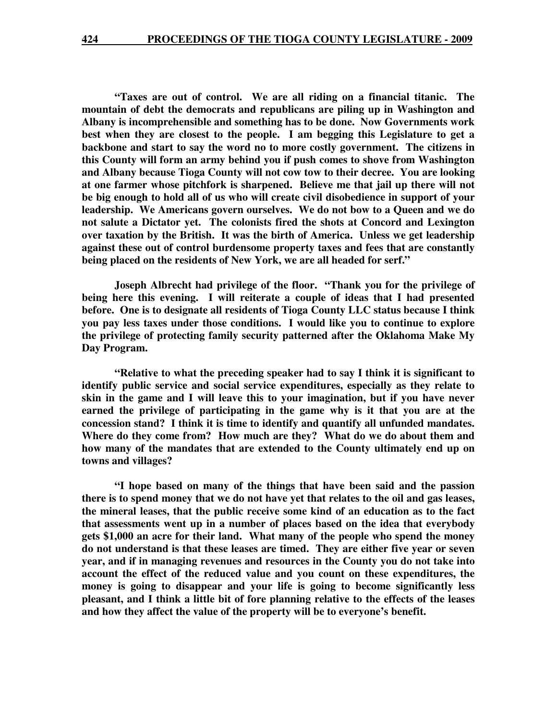**"Taxes are out of control. We are all riding on a financial titanic. The mountain of debt the democrats and republicans are piling up in Washington and Albany is incomprehensible and something has to be done. Now Governments work best when they are closest to the people. I am begging this Legislature to get a backbone and start to say the word no to more costly government. The citizens in this County will form an army behind you if push comes to shove from Washington and Albany because Tioga County will not cow tow to their decree. You are looking at one farmer whose pitchfork is sharpened. Believe me that jail up there will not be big enough to hold all of us who will create civil disobedience in support of your leadership. We Americans govern ourselves. We do not bow to a Queen and we do not salute a Dictator yet. The colonists fired the shots at Concord and Lexington over taxation by the British. It was the birth of America. Unless we get leadership against these out of control burdensome property taxes and fees that are constantly being placed on the residents of New York, we are all headed for serf."** 

**Joseph Albrecht had privilege of the floor. "Thank you for the privilege of being here this evening. I will reiterate a couple of ideas that I had presented before. One is to designate all residents of Tioga County LLC status because I think you pay less taxes under those conditions. I would like you to continue to explore the privilege of protecting family security patterned after the Oklahoma Make My Day Program.** 

 **"Relative to what the preceding speaker had to say I think it is significant to identify public service and social service expenditures, especially as they relate to skin in the game and I will leave this to your imagination, but if you have never earned the privilege of participating in the game why is it that you are at the concession stand? I think it is time to identify and quantify all unfunded mandates. Where do they come from? How much are they? What do we do about them and how many of the mandates that are extended to the County ultimately end up on towns and villages?** 

 **"I hope based on many of the things that have been said and the passion there is to spend money that we do not have yet that relates to the oil and gas leases, the mineral leases, that the public receive some kind of an education as to the fact that assessments went up in a number of places based on the idea that everybody gets \$1,000 an acre for their land. What many of the people who spend the money do not understand is that these leases are timed. They are either five year or seven year, and if in managing revenues and resources in the County you do not take into account the effect of the reduced value and you count on these expenditures, the money is going to disappear and your life is going to become significantly less pleasant, and I think a little bit of fore planning relative to the effects of the leases and how they affect the value of the property will be to everyone's benefit.**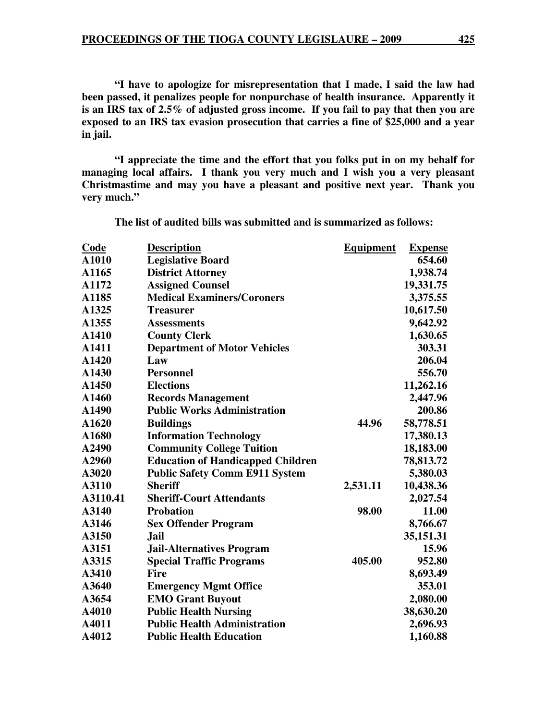**"I have to apologize for misrepresentation that I made, I said the law had been passed, it penalizes people for nonpurchase of health insurance. Apparently it is an IRS tax of 2.5% of adjusted gross income. If you fail to pay that then you are exposed to an IRS tax evasion prosecution that carries a fine of \$25,000 and a year in jail.** 

 **"I appreciate the time and the effort that you folks put in on my behalf for managing local affairs. I thank you very much and I wish you a very pleasant Christmastime and may you have a pleasant and positive next year. Thank you very much."** 

**Code Description Equipment Expense A1010 Legislative Board 654.60 A1165 District Attorney 1,938.74 A1172 Assigned Counsel 19,331.75 A1185 Medical Examiners/Coroners 3,375.55 A1325 Treasurer 10,617.50 A1355 Assessments 9,642.92 A1410 County Clerk 1,630.65 A1411 Department of Motor Vehicles 303.31 A1420 Law 206.04 A1430 Personnel 556.70 A1450 Elections 11,262.16 A1460 Records Management 2,447.96 A1490 Public Works Administration 200.86 A1620 Buildings 44.96 58,778.51 A1680 Information Technology 17,380.13 A2490 Community College Tuition 18,183.00 A2960 Education of Handicapped Children 78,813.72 A3020 Public Safety Comm E911 System 5,380.03 A3110 Sheriff 2,531.11 10,438.36 A3110.41 Sheriff-Court Attendants 2,027.54 A3140 Probation 98.00 11.00 A3146 Sex Offender Program 8,766.67 A3150 Jail 35,151.31 A3151 Jail-Alternatives Program 15.96 A3315 Special Traffic Programs 405.00 952.80**  A3410 Fire 8,693.49 **A3640 Emergency Mgmt Office 353.01 A3654 EMO Grant Buyout 2,080.00 A4010 Public Health Nursing 38,630.20 A4011 Public Health Administration 2,696.93 A4012 Public Health Education 1,160.88** 

**The list of audited bills was submitted and is summarized as follows:**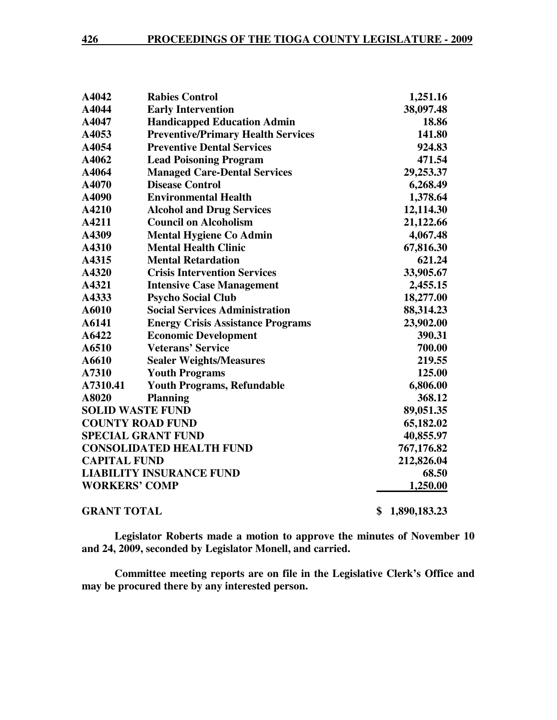| A4042                   | <b>Rabies Control</b>                     | 1,251.16           |
|-------------------------|-------------------------------------------|--------------------|
| A4044                   | <b>Early Intervention</b>                 | 38,097.48          |
| A4047                   | <b>Handicapped Education Admin</b>        | 18.86              |
| A4053                   | <b>Preventive/Primary Health Services</b> | 141.80             |
| A4054                   | <b>Preventive Dental Services</b>         | 924.83             |
| A4062                   | <b>Lead Poisoning Program</b>             | 471.54             |
| A4064                   | <b>Managed Care-Dental Services</b>       | 29,253.37          |
| A4070                   | <b>Disease Control</b>                    | 6,268.49           |
| A4090                   | <b>Environmental Health</b>               | 1,378.64           |
| A4210                   | <b>Alcohol and Drug Services</b>          | 12,114.30          |
| A4211                   | <b>Council on Alcoholism</b>              | 21,122.66          |
| A4309                   | <b>Mental Hygiene Co Admin</b>            | 4,067.48           |
| A4310                   | <b>Mental Health Clinic</b>               | 67,816.30          |
| A4315                   | <b>Mental Retardation</b>                 | 621.24             |
| A4320                   | <b>Crisis Intervention Services</b>       | 33,905.67          |
| A4321                   | <b>Intensive Case Management</b>          | 2,455.15           |
| A4333                   | <b>Psycho Social Club</b>                 | 18,277.00          |
| A6010                   | <b>Social Services Administration</b>     | 88,314.23          |
| A6141                   | <b>Energy Crisis Assistance Programs</b>  | 23,902.00          |
| A6422                   | <b>Economic Development</b>               | 390.31             |
| A6510                   | <b>Veterans' Service</b>                  | 700.00             |
| A6610                   | <b>Sealer Weights/Measures</b>            | 219.55             |
| A7310                   | <b>Youth Programs</b>                     | 125.00             |
| A7310.41                | <b>Youth Programs, Refundable</b>         | 6,806.00           |
| A8020                   | <b>Planning</b>                           | 368.12             |
| <b>SOLID WASTE FUND</b> |                                           | 89,051.35          |
|                         | <b>COUNTY ROAD FUND</b>                   | 65,182.02          |
|                         | <b>SPECIAL GRANT FUND</b>                 | 40,855.97          |
|                         | <b>CONSOLIDATED HEALTH FUND</b>           | 767,176.82         |
| <b>CAPITAL FUND</b>     |                                           | 212,826.04         |
|                         | <b>LIABILITY INSURANCE FUND</b>           | 68.50              |
| <b>WORKERS' COMP</b>    |                                           | 1,250.00           |
| <b>GRANT TOTAL</b>      |                                           | \$<br>1,890,183.23 |

**Legislator Roberts made a motion to approve the minutes of November 10 and 24, 2009, seconded by Legislator Monell, and carried.** 

**Committee meeting reports are on file in the Legislative Clerk's Office and may be procured there by any interested person.**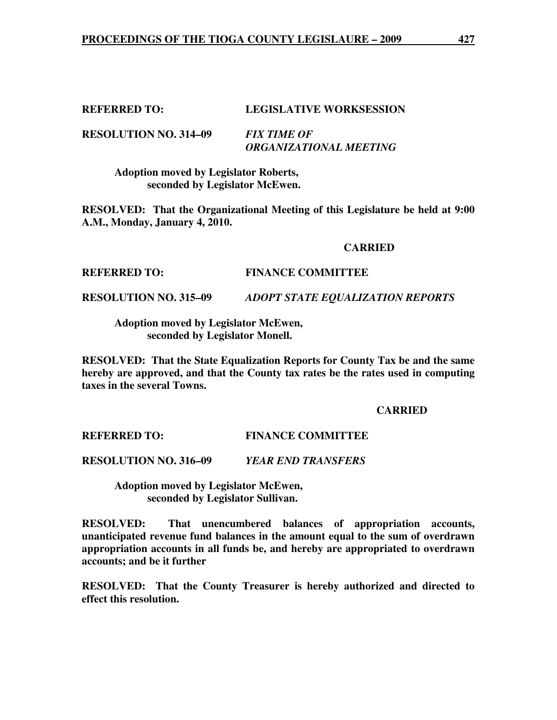# **REFERRED TO: LEGISLATIVE WORKSESSION**

**RESOLUTION NO. 314–09** *FIX TIME OF ORGANIZATIONAL MEETING* 

> **Adoption moved by Legislator Roberts, seconded by Legislator McEwen.**

**RESOLVED: That the Organizational Meeting of this Legislature be held at 9:00 A.M., Monday, January 4, 2010.** 

#### **CARRIED**

#### **REFERRED TO: FINANCE COMMITTEE**

**RESOLUTION NO. 315–09** *ADOPT STATE EQUALIZATION REPORTS* 

 **Adoption moved by Legislator McEwen, seconded by Legislator Monell.** 

**RESOLVED: That the State Equalization Reports for County Tax be and the same hereby are approved, and that the County tax rates be the rates used in computing taxes in the several Towns.** 

#### **CARRIED**

**REFERRED TO: FINANCE COMMITTEE** 

**RESOLUTION NO. 316–09** *YEAR END TRANSFERS* 

 **Adoption moved by Legislator McEwen, seconded by Legislator Sullivan.** 

**RESOLVED: That unencumbered balances of appropriation accounts, unanticipated revenue fund balances in the amount equal to the sum of overdrawn appropriation accounts in all funds be, and hereby are appropriated to overdrawn accounts; and be it further** 

**RESOLVED: That the County Treasurer is hereby authorized and directed to effect this resolution.**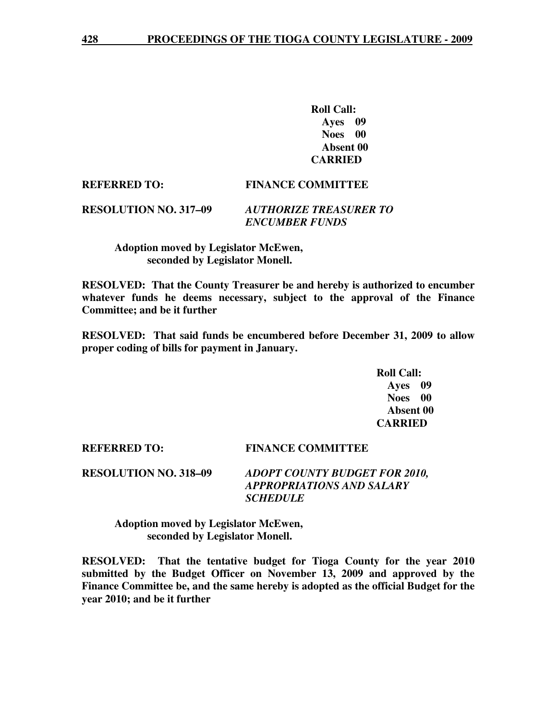**Roll Call: Ayes 09 Noes 00 Absent 00 CARRIED** 

#### **REFERRED TO: FINANCE COMMITTEE**

# **RESOLUTION NO. 317–09** *AUTHORIZE TREASURER TO ENCUMBER FUNDS*

# **Adoption moved by Legislator McEwen, seconded by Legislator Monell.**

**RESOLVED: That the County Treasurer be and hereby is authorized to encumber whatever funds he deems necessary, subject to the approval of the Finance Committee; and be it further** 

**RESOLVED: That said funds be encumbered before December 31, 2009 to allow proper coding of bills for payment in January.** 

> **Roll Call: Ayes 09 Noes 00 Absent 00 CARRIED**

**REFERRED TO: FINANCE COMMITTEE** 

**RESOLUTION NO. 318–09** *ADOPT COUNTY BUDGET FOR 2010, APPROPRIATIONS AND SALARY SCHEDULE* 

 **Adoption moved by Legislator McEwen, seconded by Legislator Monell.** 

**RESOLVED: That the tentative budget for Tioga County for the year 2010 submitted by the Budget Officer on November 13, 2009 and approved by the Finance Committee be, and the same hereby is adopted as the official Budget for the year 2010; and be it further**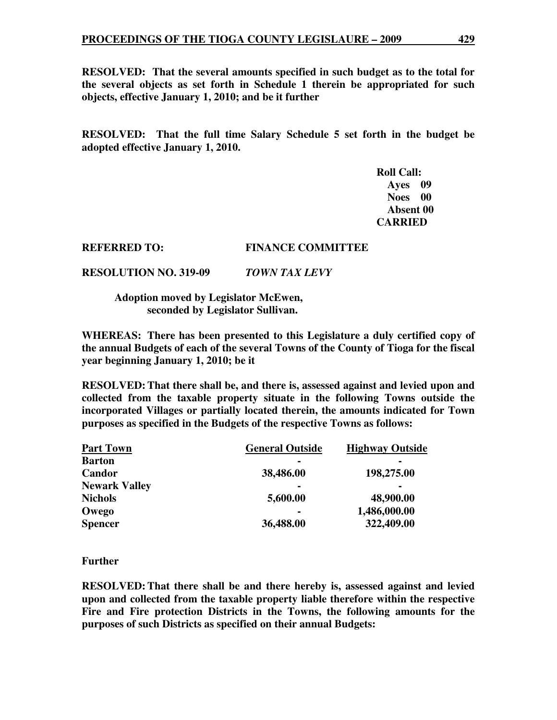**RESOLVED: That the several amounts specified in such budget as to the total for the several objects as set forth in Schedule 1 therein be appropriated for such objects, effective January 1, 2010; and be it further** 

**RESOLVED: That the full time Salary Schedule 5 set forth in the budget be adopted effective January 1, 2010.** 

> **Roll Call: Ayes 09 Noes 00 Absent 00 CARRIED**

#### **REFERRED TO: FINANCE COMMITTEE**

**RESOLUTION NO. 319-09** *TOWN TAX LEVY* 

 **Adoption moved by Legislator McEwen, seconded by Legislator Sullivan.** 

**WHEREAS: There has been presented to this Legislature a duly certified copy of the annual Budgets of each of the several Towns of the County of Tioga for the fiscal year beginning January 1, 2010; be it** 

**RESOLVED: That there shall be, and there is, assessed against and levied upon and collected from the taxable property situate in the following Towns outside the incorporated Villages or partially located therein, the amounts indicated for Town purposes as specified in the Budgets of the respective Towns as follows:** 

| <b>Part Town</b>     | <b>General Outside</b> | <b>Highway Outside</b> |
|----------------------|------------------------|------------------------|
| <b>Barton</b>        |                        | $\blacksquare$         |
| Candor               | 38,486.00              | 198,275.00             |
| <b>Newark Valley</b> | $\blacksquare$         | $\blacksquare$         |
| <b>Nichols</b>       | 5,600.00               | 48,900.00              |
| Owego                | $\blacksquare$         | 1,486,000.00           |
| <b>Spencer</b>       | 36,488.00              | 322,409.00             |

# **Further**

**RESOLVED: That there shall be and there hereby is, assessed against and levied upon and collected from the taxable property liable therefore within the respective Fire and Fire protection Districts in the Towns, the following amounts for the purposes of such Districts as specified on their annual Budgets:**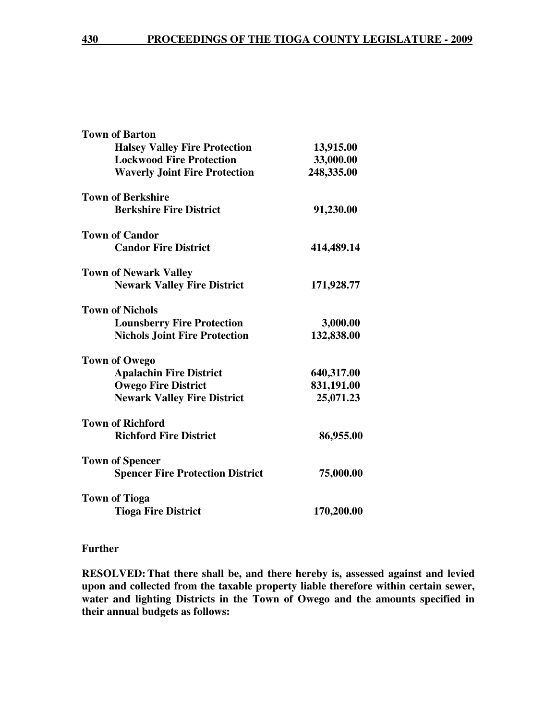| <b>Town of Barton</b>                   |            |
|-----------------------------------------|------------|
| <b>Halsey Valley Fire Protection</b>    | 13,915.00  |
| <b>Lockwood Fire Protection</b>         | 33,000.00  |
| <b>Waverly Joint Fire Protection</b>    | 248,335.00 |
| <b>Town of Berkshire</b>                |            |
| <b>Berkshire Fire District</b>          | 91,230.00  |
| <b>Town of Candor</b>                   |            |
| <b>Candor Fire District</b>             | 414,489.14 |
| <b>Town of Newark Valley</b>            |            |
| <b>Newark Valley Fire District</b>      | 171,928.77 |
| <b>Town of Nichols</b>                  |            |
| <b>Lounsberry Fire Protection</b>       | 3,000.00   |
| <b>Nichols Joint Fire Protection</b>    | 132,838.00 |
| <b>Town of Owego</b>                    |            |
| <b>Apalachin Fire District</b>          | 640,317.00 |
| <b>Owego Fire District</b>              | 831,191.00 |
| <b>Newark Valley Fire District</b>      | 25,071.23  |
| <b>Town of Richford</b>                 |            |
| <b>Richford Fire District</b>           | 86,955.00  |
| <b>Town of Spencer</b>                  |            |
| <b>Spencer Fire Protection District</b> | 75,000.00  |
| <b>Town of Tioga</b>                    |            |
| <b>Tioga Fire District</b>              | 170,200.00 |
|                                         |            |

## **Further**

**RESOLVED: That there shall be, and there hereby is, assessed against and levied upon and collected from the taxable property liable therefore within certain sewer, water and lighting Districts in the Town of Owego and the amounts specified in their annual budgets as follows:**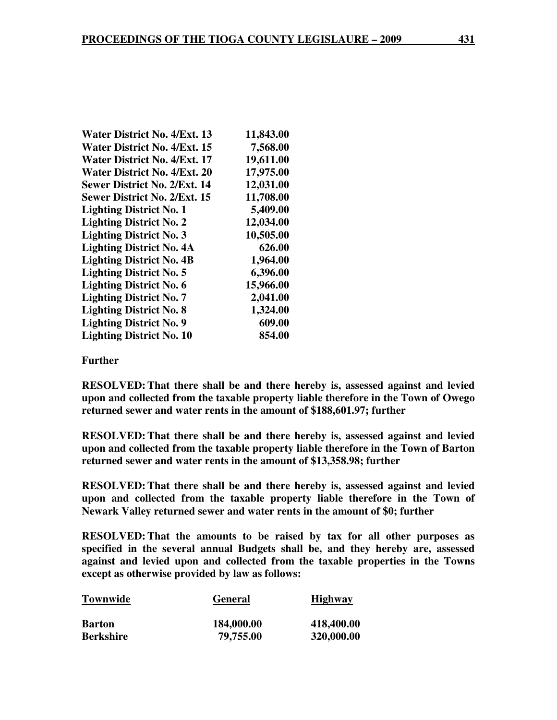| 11,843.00<br>7,568.00 |
|-----------------------|
|                       |
|                       |
| 19,611.00             |
| 17,975.00             |
| 12,031.00             |
| 11,708.00             |
| 5,409.00              |
| 12,034.00             |
| 10,505.00             |
| 626.00                |
| 1,964.00              |
| 6,396.00              |
| 15,966.00             |
| 2,041.00              |
| 1,324.00              |
| 609.00                |
| 854.00                |
|                       |

### **Further**

**RESOLVED: That there shall be and there hereby is, assessed against and levied upon and collected from the taxable property liable therefore in the Town of Owego returned sewer and water rents in the amount of \$188,601.97; further** 

**RESOLVED: That there shall be and there hereby is, assessed against and levied upon and collected from the taxable property liable therefore in the Town of Barton returned sewer and water rents in the amount of \$13,358.98; further** 

**RESOLVED: That there shall be and there hereby is, assessed against and levied upon and collected from the taxable property liable therefore in the Town of Newark Valley returned sewer and water rents in the amount of \$0; further** 

**RESOLVED: That the amounts to be raised by tax for all other purposes as specified in the several annual Budgets shall be, and they hereby are, assessed against and levied upon and collected from the taxable properties in the Towns except as otherwise provided by law as follows:** 

| <b>Townwide</b>  | <b>General</b> | <b>Highway</b> |
|------------------|----------------|----------------|
| <b>Barton</b>    | 184,000.00     | 418,400.00     |
| <b>Berkshire</b> | 79,755.00      | 320,000.00     |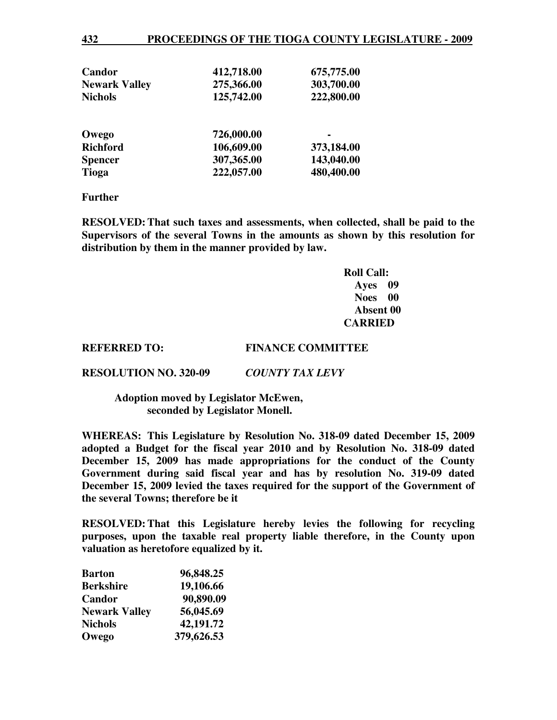| Candor               | 412,718.00 | 675,775.00 |
|----------------------|------------|------------|
| <b>Newark Valley</b> | 275,366.00 | 303,700.00 |
| <b>Nichols</b>       | 125,742.00 | 222,800.00 |
| Owego                | 726,000.00 |            |
| <b>Richford</b>      | 106,609.00 | 373,184.00 |
| <b>Spencer</b>       | 307,365.00 | 143,040.00 |
| <b>Tioga</b>         | 222,057.00 | 480,400.00 |

#### **Further**

**RESOLVED: That such taxes and assessments, when collected, shall be paid to the Supervisors of the several Towns in the amounts as shown by this resolution for distribution by them in the manner provided by law.**

> **Roll Call: Ayes 09 Noes 00 Absent 00 CARRIED**

#### **REFERRED TO: FINANCE COMMITTEE**

**RESOLUTION NO. 320-09** *COUNTY TAX LEVY* 

#### **Adoption moved by Legislator McEwen, seconded by Legislator Monell.**

**WHEREAS: This Legislature by Resolution No. 318-09 dated December 15, 2009 adopted a Budget for the fiscal year 2010 and by Resolution No. 318-09 dated December 15, 2009 has made appropriations for the conduct of the County Government during said fiscal year and has by resolution No. 319-09 dated December 15, 2009 levied the taxes required for the support of the Government of the several Towns; therefore be it** 

**RESOLVED: That this Legislature hereby levies the following for recycling purposes, upon the taxable real property liable therefore, in the County upon valuation as heretofore equalized by it.** 

| <b>Barton</b>        | 96,848.25  |
|----------------------|------------|
| <b>Berkshire</b>     | 19,106.66  |
| Candor               | 90,890.09  |
| <b>Newark Valley</b> | 56,045.69  |
| <b>Nichols</b>       | 42,191.72  |
| Owego                | 379,626.53 |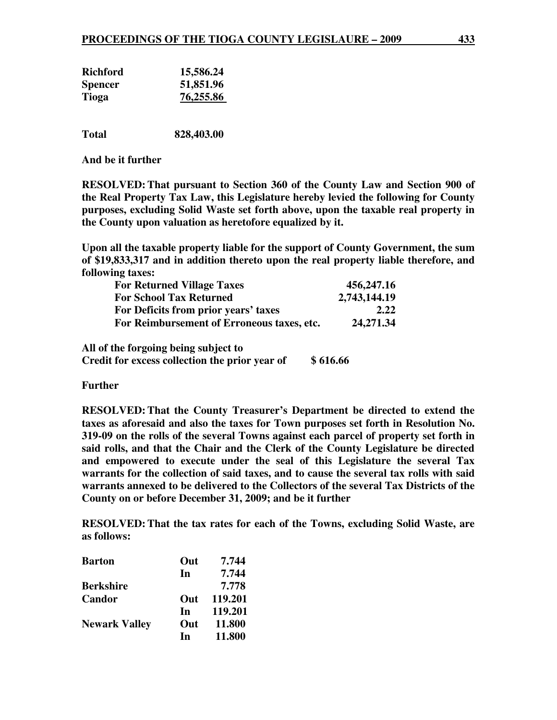| <b>Richford</b> | 15,586.24 |
|-----------------|-----------|
| <b>Spencer</b>  | 51,851.96 |
| Tioga           | 76,255.86 |
|                 |           |

**Total 828,403.00** 

**And be it further** 

**RESOLVED: That pursuant to Section 360 of the County Law and Section 900 of the Real Property Tax Law, this Legislature hereby levied the following for County purposes, excluding Solid Waste set forth above, upon the taxable real property in the County upon valuation as heretofore equalized by it.** 

**Upon all the taxable property liable for the support of County Government, the sum of \$19,833,317 and in addition thereto upon the real property liable therefore, and following taxes:** 

|                                            | 456,247.16   |
|--------------------------------------------|--------------|
| <b>For School Tax Returned</b>             | 2,743,144.19 |
| For Deficits from prior years' taxes       | 2.22         |
| For Reimbursement of Erroneous taxes, etc. | 24, 271.34   |

**All of the forgoing being subject to** 

**Credit for excess collection the prior year of \$ 616.66** 

**Further** 

**RESOLVED: That the County Treasurer's Department be directed to extend the taxes as aforesaid and also the taxes for Town purposes set forth in Resolution No. 319-09 on the rolls of the several Towns against each parcel of property set forth in said rolls, and that the Chair and the Clerk of the County Legislature be directed and empowered to execute under the seal of this Legislature the several Tax warrants for the collection of said taxes, and to cause the several tax rolls with said warrants annexed to be delivered to the Collectors of the several Tax Districts of the County on or before December 31, 2009; and be it further** 

**RESOLVED: That the tax rates for each of the Towns, excluding Solid Waste, are as follows:** 

| <b>Barton</b>        | Out | 7.744   |
|----------------------|-----|---------|
|                      | In  | 7.744   |
| <b>Berkshire</b>     |     | 7.778   |
| Candor               | Out | 119.201 |
|                      | In  | 119.201 |
| <b>Newark Valley</b> | Out | 11.800  |
|                      | In  | 11.800  |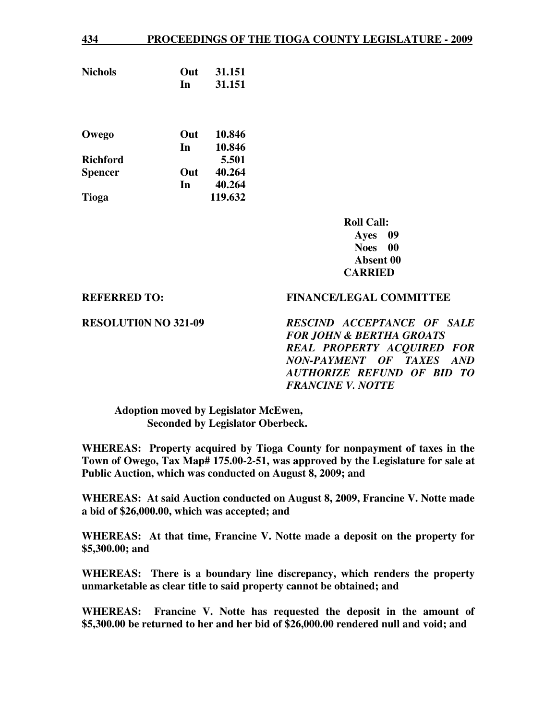| <b>Nichols</b>  | Out | 31.151  |
|-----------------|-----|---------|
|                 | In  | 31.151  |
|                 |     |         |
|                 |     |         |
| Owego           | Out | 10.846  |
|                 | In  | 10.846  |
| <b>Richford</b> |     | 5.501   |
| <b>Spencer</b>  | Out | 40.264  |
|                 | In  | 40.264  |
| <b>Tioga</b>    |     | 119.632 |
|                 |     |         |

**Roll Call: Ayes 09 Noes 00 Absent 00 CARRIED** 

**REFERRED TO: FINANCE/LEGAL COMMITTEE** 

**RESOLUTI0N NO 321-09** *RESCIND ACCEPTANCE OF SALE FOR JOHN & BERTHA GROATS REAL PROPERTY ACQUIRED FOR NON-PAYMENT OF TAXES AND AUTHORIZE REFUND OF BID TO FRANCINE V. NOTTE* 

 **Adoption moved by Legislator McEwen, Seconded by Legislator Oberbeck.** 

**WHEREAS: Property acquired by Tioga County for nonpayment of taxes in the Town of Owego, Tax Map# 175.00-2-51, was approved by the Legislature for sale at Public Auction, which was conducted on August 8, 2009; and** 

**WHEREAS: At said Auction conducted on August 8, 2009, Francine V. Notte made a bid of \$26,000.00, which was accepted; and** 

**WHEREAS: At that time, Francine V. Notte made a deposit on the property for \$5,300.00; and** 

**WHEREAS: There is a boundary line discrepancy, which renders the property unmarketable as clear title to said property cannot be obtained; and** 

**WHEREAS: Francine V. Notte has requested the deposit in the amount of \$5,300.00 be returned to her and her bid of \$26,000.00 rendered null and void; and**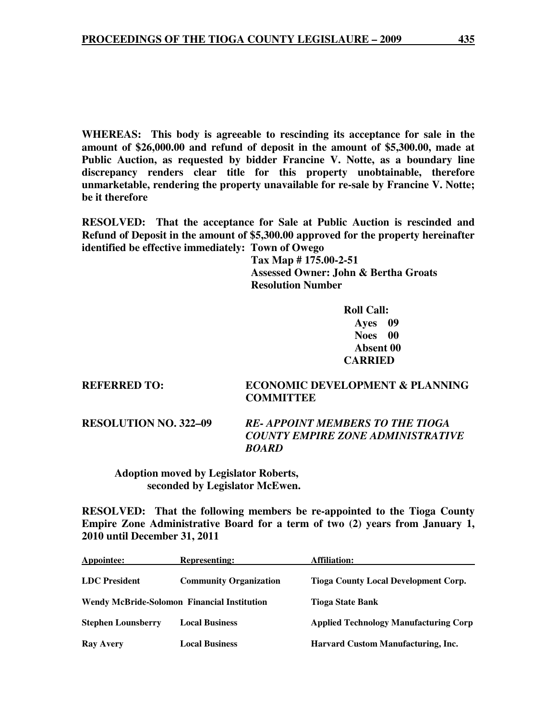**WHEREAS: This body is agreeable to rescinding its acceptance for sale in the amount of \$26,000.00 and refund of deposit in the amount of \$5,300.00, made at Public Auction, as requested by bidder Francine V. Notte, as a boundary line discrepancy renders clear title for this property unobtainable, therefore unmarketable, rendering the property unavailable for re-sale by Francine V. Notte; be it therefore** 

**RESOLVED: That the acceptance for Sale at Public Auction is rescinded and Refund of Deposit in the amount of \$5,300.00 approved for the property hereinafter identified be effective immediately: Town of Owego**

 **Tax Map # 175.00-2-51 Assessed Owner: John & Bertha Groats Resolution Number** 

> **Roll Call: Ayes 09 Noes 00 Absent 00 CARRIED**

**REFERRED TO: ECONOMIC DEVELOPMENT & PLANNING COMMITTEE** 

**RESOLUTION NO. 322–09** *RE- APPOINT MEMBERS TO THE TIOGA COUNTY EMPIRE ZONE ADMINISTRATIVE BOARD* 

 **Adoption moved by Legislator Roberts, seconded by Legislator McEwen.** 

**RESOLVED: That the following members be re-appointed to the Tioga County Empire Zone Administrative Board for a term of two (2) years from January 1, 2010 until December 31, 2011** 

| Appointee:                | <b>Representing:</b>                               | <b>Affiliation:</b>                          |  |
|---------------------------|----------------------------------------------------|----------------------------------------------|--|
| LDC President             | <b>Community Organization</b>                      | <b>Tioga County Local Development Corp.</b>  |  |
|                           | <b>Wendy McBride-Solomon Financial Institution</b> | <b>Tioga State Bank</b>                      |  |
| <b>Stephen Lounsberry</b> | <b>Local Business</b>                              | <b>Applied Technology Manufacturing Corp</b> |  |
| <b>Ray Avery</b>          | <b>Local Business</b>                              | Harvard Custom Manufacturing, Inc.           |  |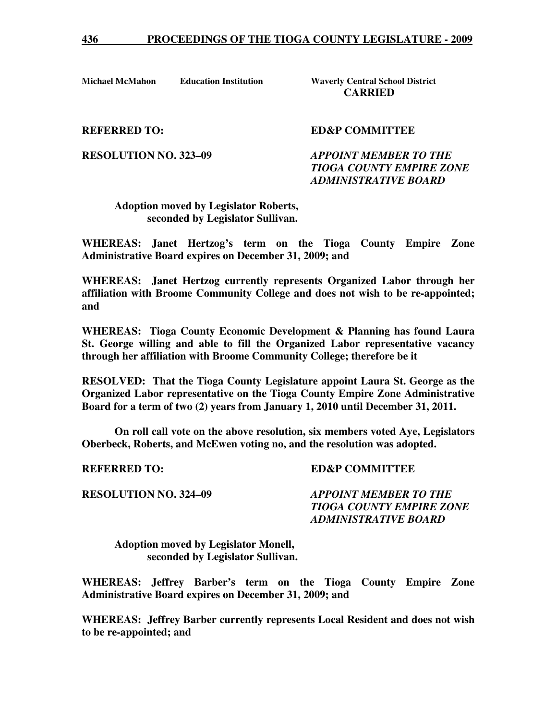**Michael McMahon Education Institution Waverly Central School District** 

**CARRIED** 

**REFERRED TO: SED&P COMMITTEE** 

**RESOLUTION NO. 323–09** *APPOINT MEMBER TO THE TIOGA COUNTY EMPIRE ZONE ADMINISTRATIVE BOARD* 

 **Adoption moved by Legislator Roberts, seconded by Legislator Sullivan.** 

**WHEREAS: Janet Hertzog's term on the Tioga County Empire Zone Administrative Board expires on December 31, 2009; and** 

**WHEREAS: Janet Hertzog currently represents Organized Labor through her affiliation with Broome Community College and does not wish to be re-appointed; and** 

**WHEREAS: Tioga County Economic Development & Planning has found Laura St. George willing and able to fill the Organized Labor representative vacancy through her affiliation with Broome Community College; therefore be it** 

**RESOLVED: That the Tioga County Legislature appoint Laura St. George as the Organized Labor representative on the Tioga County Empire Zone Administrative Board for a term of two (2) years from January 1, 2010 until December 31, 2011.** 

 **On roll call vote on the above resolution, six members voted Aye, Legislators Oberbeck, Roberts, and McEwen voting no, and the resolution was adopted.** 

**REFERRED TO: ED&P COMMITTEE** 

**RESOLUTION NO. 324–09** *APPOINT MEMBER TO THE TIOGA COUNTY EMPIRE ZONE ADMINISTRATIVE BOARD* 

 **Adoption moved by Legislator Monell, seconded by Legislator Sullivan.** 

**WHEREAS: Jeffrey Barber's term on the Tioga County Empire Zone Administrative Board expires on December 31, 2009; and** 

**WHEREAS: Jeffrey Barber currently represents Local Resident and does not wish to be re-appointed; and**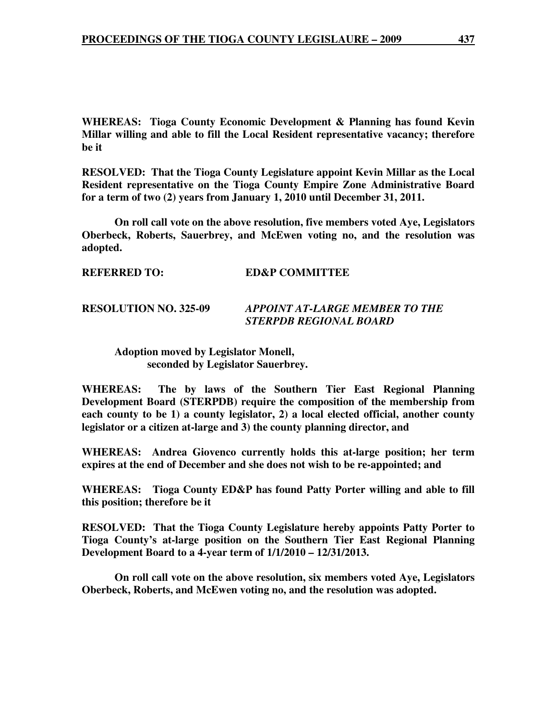**WHEREAS: Tioga County Economic Development & Planning has found Kevin Millar willing and able to fill the Local Resident representative vacancy; therefore be it** 

**RESOLVED: That the Tioga County Legislature appoint Kevin Millar as the Local Resident representative on the Tioga County Empire Zone Administrative Board for a term of two (2) years from January 1, 2010 until December 31, 2011.** 

 **On roll call vote on the above resolution, five members voted Aye, Legislators Oberbeck, Roberts, Sauerbrey, and McEwen voting no, and the resolution was adopted.** 

**REFERRED TO: ED&P COMMITTEE** 

### **RESOLUTION NO. 325-09** *APPOINT AT-LARGE MEMBER TO THE STERPDB REGIONAL BOARD*

 **Adoption moved by Legislator Monell, seconded by Legislator Sauerbrey.** 

**WHEREAS: The by laws of the Southern Tier East Regional Planning Development Board (STERPDB) require the composition of the membership from each county to be 1) a county legislator, 2) a local elected official, another county legislator or a citizen at-large and 3) the county planning director, and** 

**WHEREAS: Andrea Giovenco currently holds this at-large position; her term expires at the end of December and she does not wish to be re-appointed; and** 

**WHEREAS: Tioga County ED&P has found Patty Porter willing and able to fill this position; therefore be it** 

**RESOLVED: That the Tioga County Legislature hereby appoints Patty Porter to Tioga County's at-large position on the Southern Tier East Regional Planning Development Board to a 4-year term of 1/1/2010 – 12/31/2013.** 

 **On roll call vote on the above resolution, six members voted Aye, Legislators Oberbeck, Roberts, and McEwen voting no, and the resolution was adopted.**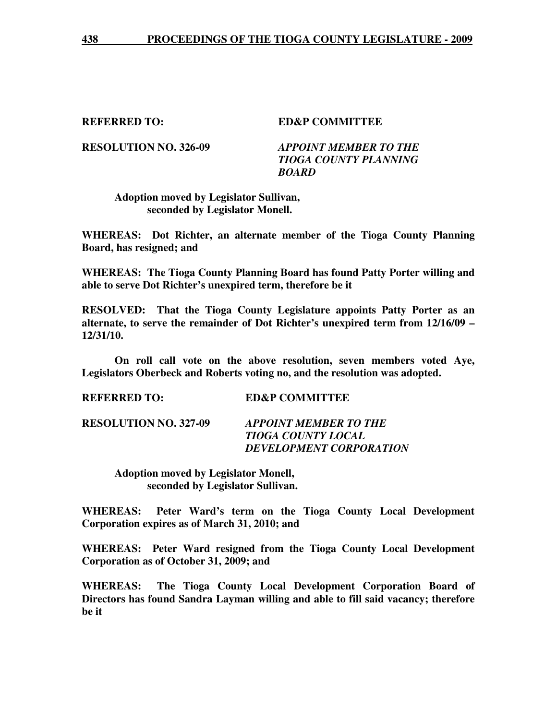**REFERRED TO: ED&P COMMITTEE** 

**RESOLUTION NO. 326-09** *APPOINT MEMBER TO THE TIOGA COUNTY PLANNING BOARD* 

 **Adoption moved by Legislator Sullivan, seconded by Legislator Monell.** 

**WHEREAS: Dot Richter, an alternate member of the Tioga County Planning Board, has resigned; and** 

**WHEREAS: The Tioga County Planning Board has found Patty Porter willing and able to serve Dot Richter's unexpired term, therefore be it** 

**RESOLVED: That the Tioga County Legislature appoints Patty Porter as an alternate, to serve the remainder of Dot Richter's unexpired term from 12/16/09 – 12/31/10.** 

 **On roll call vote on the above resolution, seven members voted Aye, Legislators Oberbeck and Roberts voting no, and the resolution was adopted.** 

**REFERRED TO: ED&P COMMITTEE** 

**RESOLUTION NO. 327-09** *APPOINT MEMBER TO THE TIOGA COUNTY LOCAL DEVELOPMENT CORPORATION* 

> **Adoption moved by Legislator Monell, seconded by Legislator Sullivan.**

**WHEREAS: Peter Ward's term on the Tioga County Local Development Corporation expires as of March 31, 2010; and** 

**WHEREAS: Peter Ward resigned from the Tioga County Local Development Corporation as of October 31, 2009; and** 

**WHEREAS: The Tioga County Local Development Corporation Board of Directors has found Sandra Layman willing and able to fill said vacancy; therefore be it**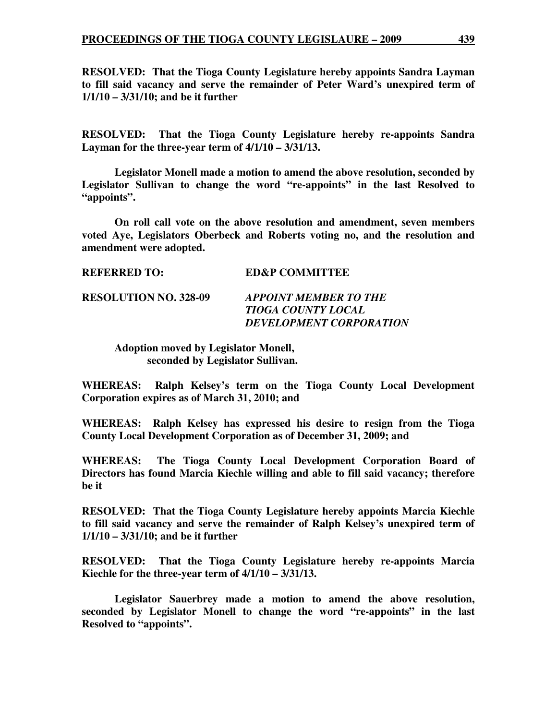**RESOLVED: That the Tioga County Legislature hereby appoints Sandra Layman to fill said vacancy and serve the remainder of Peter Ward's unexpired term of 1/1/10 – 3/31/10; and be it further** 

**RESOLVED: That the Tioga County Legislature hereby re-appoints Sandra Layman for the three-year term of 4/1/10 – 3/31/13.** 

 **Legislator Monell made a motion to amend the above resolution, seconded by Legislator Sullivan to change the word "re-appoints" in the last Resolved to "appoints".** 

 **On roll call vote on the above resolution and amendment, seven members voted Aye, Legislators Oberbeck and Roberts voting no, and the resolution and amendment were adopted.** 

| <b>REFERRED TO:</b>          | <b>ED&amp;P COMMITTEE</b>                                                            |
|------------------------------|--------------------------------------------------------------------------------------|
| <b>RESOLUTION NO. 328-09</b> | <b>APPOINT MEMBER TO THE</b><br>TIOGA COUNTY LOCAL<br><b>DEVELOPMENT CORPORATION</b> |

 **Adoption moved by Legislator Monell, seconded by Legislator Sullivan.** 

**WHEREAS: Ralph Kelsey's term on the Tioga County Local Development Corporation expires as of March 31, 2010; and** 

**WHEREAS: Ralph Kelsey has expressed his desire to resign from the Tioga County Local Development Corporation as of December 31, 2009; and** 

**WHEREAS: The Tioga County Local Development Corporation Board of Directors has found Marcia Kiechle willing and able to fill said vacancy; therefore be it** 

**RESOLVED: That the Tioga County Legislature hereby appoints Marcia Kiechle to fill said vacancy and serve the remainder of Ralph Kelsey's unexpired term of 1/1/10 – 3/31/10; and be it further** 

**RESOLVED: That the Tioga County Legislature hereby re-appoints Marcia Kiechle for the three-year term of 4/1/10 – 3/31/13.** 

 **Legislator Sauerbrey made a motion to amend the above resolution, seconded by Legislator Monell to change the word "re-appoints" in the last Resolved to "appoints".**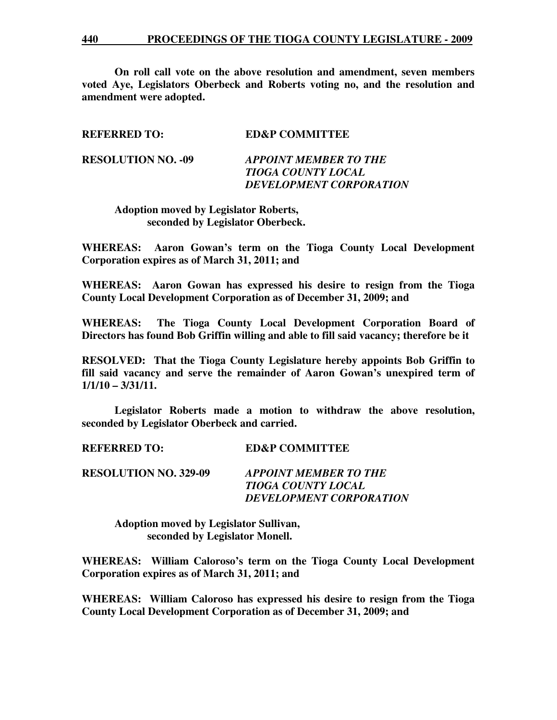**On roll call vote on the above resolution and amendment, seven members voted Aye, Legislators Oberbeck and Roberts voting no, and the resolution and amendment were adopted.** 

| <b>REFERRED TO:</b>       | <b>ED&amp;P COMMITTEE</b>                                                            |
|---------------------------|--------------------------------------------------------------------------------------|
| <b>RESOLUTION NO. -09</b> | <b>APPOINT MEMBER TO THE</b><br>TIOGA COUNTY LOCAL<br><b>DEVELOPMENT CORPORATION</b> |

 **Adoption moved by Legislator Roberts, seconded by Legislator Oberbeck.** 

**WHEREAS: Aaron Gowan's term on the Tioga County Local Development Corporation expires as of March 31, 2011; and** 

**WHEREAS: Aaron Gowan has expressed his desire to resign from the Tioga County Local Development Corporation as of December 31, 2009; and** 

**WHEREAS: The Tioga County Local Development Corporation Board of Directors has found Bob Griffin willing and able to fill said vacancy; therefore be it** 

**RESOLVED: That the Tioga County Legislature hereby appoints Bob Griffin to fill said vacancy and serve the remainder of Aaron Gowan's unexpired term of 1/1/10 – 3/31/11.** 

 **Legislator Roberts made a motion to withdraw the above resolution, seconded by Legislator Oberbeck and carried.** 

**REFERRED TO: ED&P COMMITTEE** 

**RESOLUTION NO. 329-09** *APPOINT MEMBER TO THE TIOGA COUNTY LOCAL DEVELOPMENT CORPORATION* 

 **Adoption moved by Legislator Sullivan, seconded by Legislator Monell.** 

**WHEREAS: William Caloroso's term on the Tioga County Local Development Corporation expires as of March 31, 2011; and** 

**WHEREAS: William Caloroso has expressed his desire to resign from the Tioga County Local Development Corporation as of December 31, 2009; and**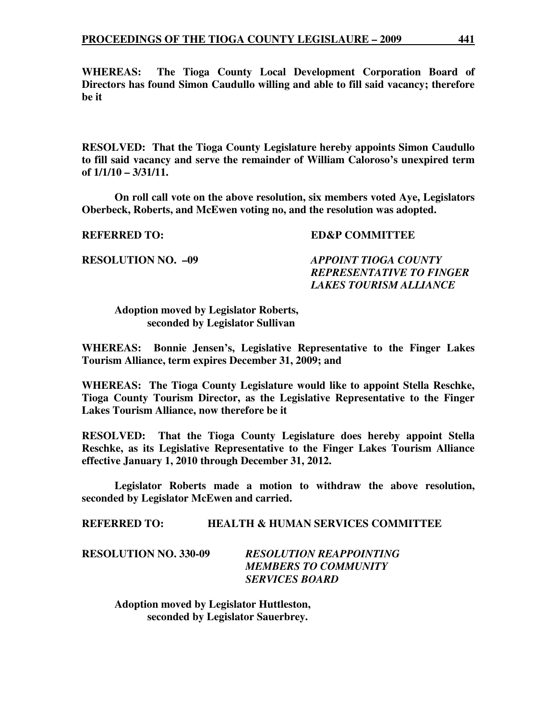**WHEREAS: The Tioga County Local Development Corporation Board of Directors has found Simon Caudullo willing and able to fill said vacancy; therefore be it** 

**RESOLVED: That the Tioga County Legislature hereby appoints Simon Caudullo to fill said vacancy and serve the remainder of William Caloroso's unexpired term of 1/1/10 – 3/31/11.** 

 **On roll call vote on the above resolution, six members voted Aye, Legislators Oberbeck, Roberts, and McEwen voting no, and the resolution was adopted.** 

#### **REFERRED TO: ED&P COMMITTEE**

**RESOLUTION NO. –09** *APPOINT TIOGA COUNTY REPRESENTATIVE TO FINGER LAKES TOURISM ALLIANCE* 

 **Adoption moved by Legislator Roberts, seconded by Legislator Sullivan** 

**WHEREAS: Bonnie Jensen's, Legislative Representative to the Finger Lakes Tourism Alliance, term expires December 31, 2009; and** 

**WHEREAS: The Tioga County Legislature would like to appoint Stella Reschke, Tioga County Tourism Director, as the Legislative Representative to the Finger Lakes Tourism Alliance, now therefore be it** 

**RESOLVED: That the Tioga County Legislature does hereby appoint Stella Reschke, as its Legislative Representative to the Finger Lakes Tourism Alliance effective January 1, 2010 through December 31, 2012.** 

 **Legislator Roberts made a motion to withdraw the above resolution, seconded by Legislator McEwen and carried.** 

**REFERRED TO: HEALTH & HUMAN SERVICES COMMITTEE** 

**RESOLUTION NO. 330-09** *RESOLUTION REAPPOINTING MEMBERS TO COMMUNITY SERVICES BOARD* 

> **Adoption moved by Legislator Huttleston, seconded by Legislator Sauerbrey.**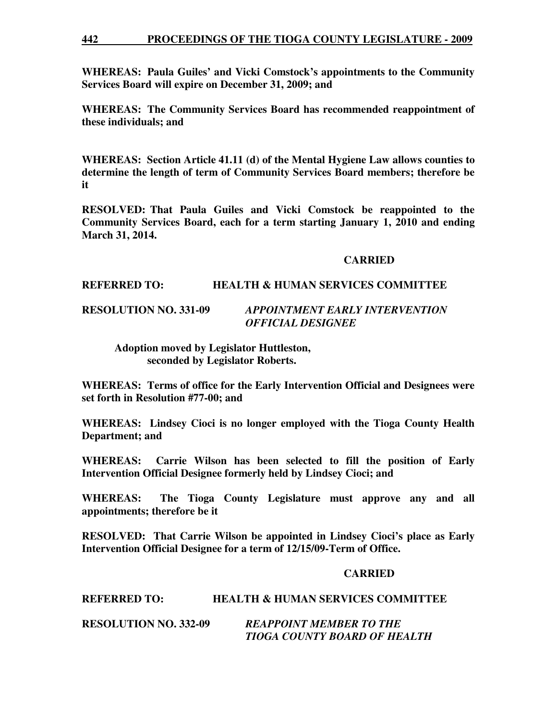#### **442 PROCEEDINGS OF THE TIOGA COUNTY LEGISLATURE - 2009**

**WHEREAS: Paula Guiles' and Vicki Comstock's appointments to the Community Services Board will expire on December 31, 2009; and** 

**WHEREAS: The Community Services Board has recommended reappointment of these individuals; and** 

**WHEREAS: Section Article 41.11 (d) of the Mental Hygiene Law allows counties to determine the length of term of Community Services Board members; therefore be it** 

**RESOLVED: That Paula Guiles and Vicki Comstock be reappointed to the Community Services Board, each for a term starting January 1, 2010 and ending March 31, 2014.** 

### **CARRIED**

### **REFERRED TO: HEALTH & HUMAN SERVICES COMMITTEE**

# **RESOLUTION NO. 331-09** *APPOINTMENT EARLY INTERVENTION OFFICIAL DESIGNEE*

 **Adoption moved by Legislator Huttleston, seconded by Legislator Roberts.** 

**WHEREAS: Terms of office for the Early Intervention Official and Designees were set forth in Resolution #77-00; and** 

**WHEREAS: Lindsey Cioci is no longer employed with the Tioga County Health Department; and** 

**WHEREAS: Carrie Wilson has been selected to fill the position of Early Intervention Official Designee formerly held by Lindsey Cioci; and** 

**WHEREAS: The Tioga County Legislature must approve any and all appointments; therefore be it** 

**RESOLVED: That Carrie Wilson be appointed in Lindsey Cioci's place as Early Intervention Official Designee for a term of 12/15/09-Term of Office.** 

#### **CARRIED**

# **REFERRED TO: HEALTH & HUMAN SERVICES COMMITTEE**

**RESOLUTION NO. 332-09** *REAPPOINT MEMBER TO THE TIOGA COUNTY BOARD OF HEALTH*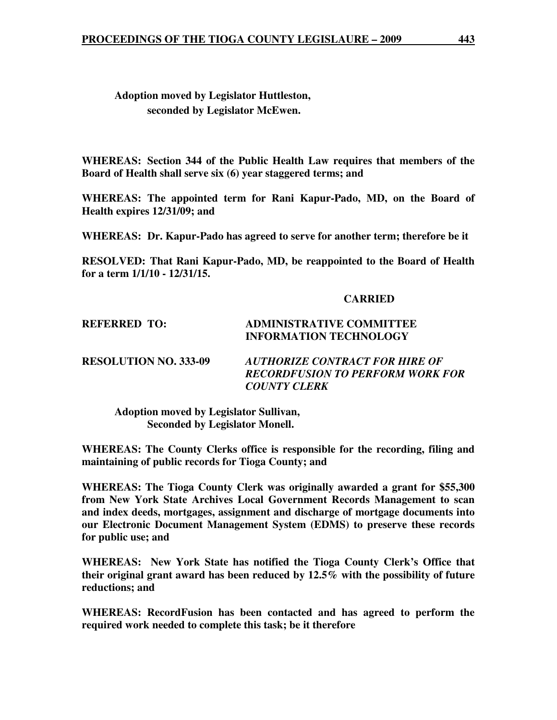# **Adoption moved by Legislator Huttleston, seconded by Legislator McEwen.**

**WHEREAS: Section 344 of the Public Health Law requires that members of the Board of Health shall serve six (6) year staggered terms; and** 

**WHEREAS: The appointed term for Rani Kapur-Pado, MD, on the Board of Health expires 12/31/09; and** 

**WHEREAS: Dr. Kapur-Pado has agreed to serve for another term; therefore be it** 

**RESOLVED: That Rani Kapur-Pado, MD, be reappointed to the Board of Health for a term 1/1/10 - 12/31/15.** 

### **CARRIED**

# **REFERRED TO: ADMINISTRATIVE COMMITTEE INFORMATION TECHNOLOGY**

**RESOLUTION NO. 333-09** *AUTHORIZE CONTRACT FOR HIRE OF RECORDFUSION TO PERFORM WORK FOR COUNTY CLERK* 

 **Adoption moved by Legislator Sullivan, Seconded by Legislator Monell.** 

**WHEREAS: The County Clerks office is responsible for the recording, filing and maintaining of public records for Tioga County; and**

**WHEREAS: The Tioga County Clerk was originally awarded a grant for \$55,300 from New York State Archives Local Government Records Management to scan and index deeds, mortgages, assignment and discharge of mortgage documents into our Electronic Document Management System (EDMS) to preserve these records for public use; and** 

**WHEREAS: New York State has notified the Tioga County Clerk's Office that their original grant award has been reduced by 12.5% with the possibility of future reductions; and** 

**WHEREAS: RecordFusion has been contacted and has agreed to perform the required work needed to complete this task; be it therefore**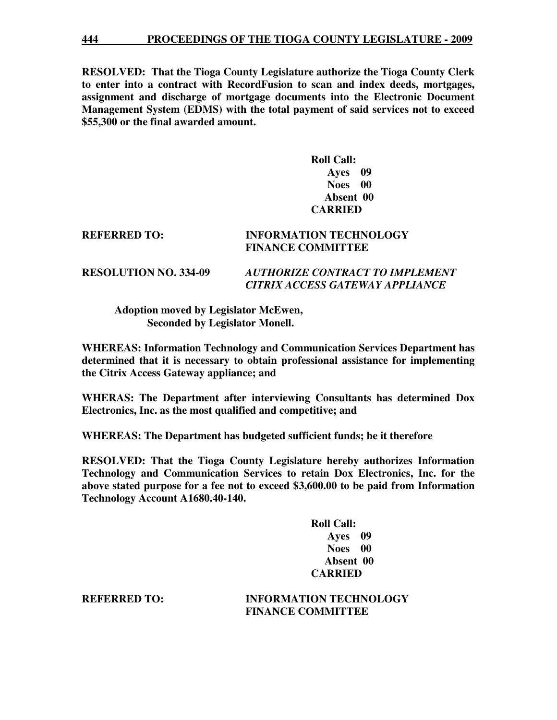**RESOLVED: That the Tioga County Legislature authorize the Tioga County Clerk to enter into a contract with RecordFusion to scan and index deeds, mortgages, assignment and discharge of mortgage documents into the Electronic Document Management System (EDMS) with the total payment of said services not to exceed \$55,300 or the final awarded amount.** 

# **Roll Call: Ayes 09 Noes 00 Absent 00 CARRIED**

# **REFERRED TO: INFORMATION TECHNOLOGY FINANCE COMMITTEE**

### **RESOLUTION NO. 334-09** *AUTHORIZE CONTRACT TO IMPLEMENT CITRIX ACCESS GATEWAY APPLIANCE*

 **Adoption moved by Legislator McEwen, Seconded by Legislator Monell.** 

**WHEREAS: Information Technology and Communication Services Department has determined that it is necessary to obtain professional assistance for implementing the Citrix Access Gateway appliance; and** 

**WHERAS: The Department after interviewing Consultants has determined Dox Electronics, Inc. as the most qualified and competitive; and** 

**WHEREAS: The Department has budgeted sufficient funds; be it therefore** 

**RESOLVED: That the Tioga County Legislature hereby authorizes Information Technology and Communication Services to retain Dox Electronics, Inc. for the above stated purpose for a fee not to exceed \$3,600.00 to be paid from Information Technology Account A1680.40-140.** 

> **Roll Call: Ayes 09 Noes 00 Absent 00 CARRIED**

**REFERRED TO: INFORMATION TECHNOLOGY FINANCE COMMITTEE**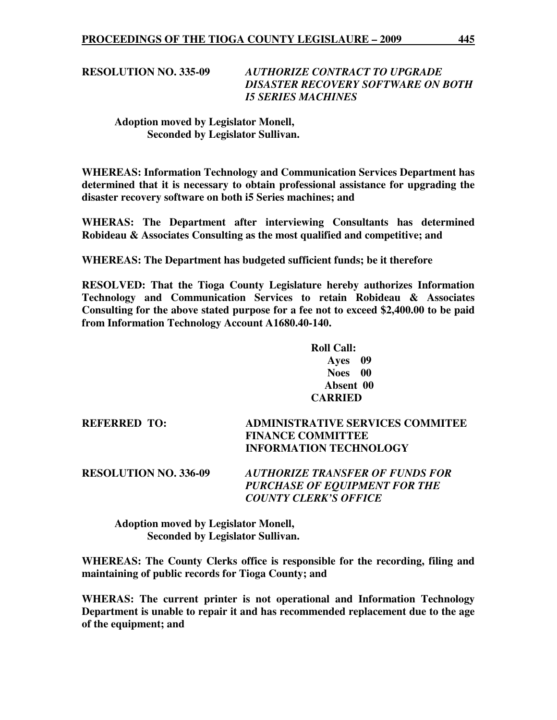**RESOLUTION NO. 335-09** *AUTHORIZE CONTRACT TO UPGRADE DISASTER RECOVERY SOFTWARE ON BOTH I5 SERIES MACHINES* 

# **Adoption moved by Legislator Monell, Seconded by Legislator Sullivan.**

**WHEREAS: Information Technology and Communication Services Department has determined that it is necessary to obtain professional assistance for upgrading the disaster recovery software on both i5 Series machines; and** 

**WHERAS: The Department after interviewing Consultants has determined Robideau & Associates Consulting as the most qualified and competitive; and** 

**WHEREAS: The Department has budgeted sufficient funds; be it therefore** 

**RESOLVED: That the Tioga County Legislature hereby authorizes Information Technology and Communication Services to retain Robideau & Associates Consulting for the above stated purpose for a fee not to exceed \$2,400.00 to be paid from Information Technology Account A1680.40-140.** 

> **Roll Call: Ayes 09 Noes 00 Absent 00 CARRIED**

**REFERRED TO: ADMINISTRATIVE SERVICES COMMITEE FINANCE COMMITTEE INFORMATION TECHNOLOGY** 

**RESOLUTION NO. 336-09** *AUTHORIZE TRANSFER OF FUNDS FOR PURCHASE OF EQUIPMENT FOR THE COUNTY CLERK'S OFFICE* 

 **Adoption moved by Legislator Monell, Seconded by Legislator Sullivan.** 

**WHEREAS: The County Clerks office is responsible for the recording, filing and maintaining of public records for Tioga County; and**

**WHERAS: The current printer is not operational and Information Technology Department is unable to repair it and has recommended replacement due to the age of the equipment; and**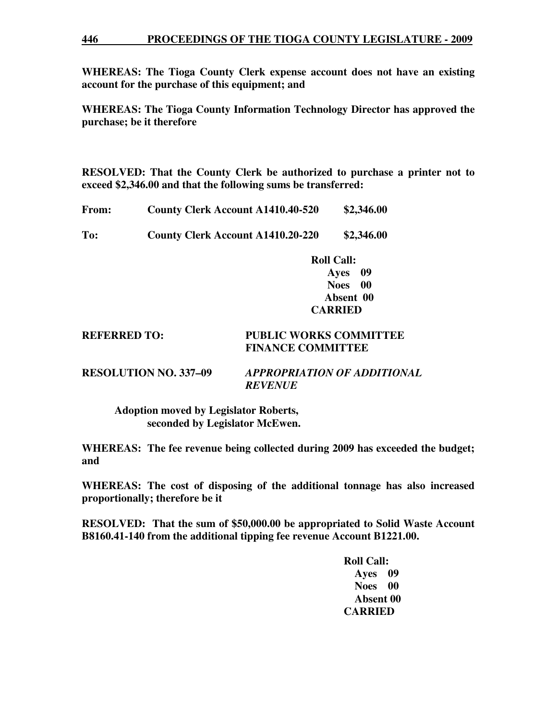#### **446 PROCEEDINGS OF THE TIOGA COUNTY LEGISLATURE - 2009**

**WHEREAS: The Tioga County Clerk expense account does not have an existing account for the purchase of this equipment; and** 

**WHEREAS: The Tioga County Information Technology Director has approved the purchase; be it therefore** 

**RESOLVED: That the County Clerk be authorized to purchase a printer not to exceed \$2,346.00 and that the following sums be transferred:** 

| From: | <b>County Clerk Account A1410.40-520</b>          | \$2,346.00                                                                               |
|-------|---------------------------------------------------|------------------------------------------------------------------------------------------|
|       | $\overline{1}$ , and also a set of $\overline{1}$ | $\mathbf{A} \bullet \mathbf{A} \bullet \mathbf{A} \bullet \mathbf{A} \bullet \mathbf{A}$ |

**To: County Clerk Account A1410.20-220 \$2,346.00** 

 **Roll Call: Ayes 09 Noes 00 Absent 00 CARRIED** 

# **REFERRED TO: PUBLIC WORKS COMMITTEE FINANCE COMMITTEE**

**RESOLUTION NO. 337–09** *APPROPRIATION OF ADDITIONAL REVENUE* 

 **Adoption moved by Legislator Roberts, seconded by Legislator McEwen.** 

**WHEREAS: The fee revenue being collected during 2009 has exceeded the budget; and** 

**WHEREAS: The cost of disposing of the additional tonnage has also increased proportionally; therefore be it** 

**RESOLVED: That the sum of \$50,000.00 be appropriated to Solid Waste Account B8160.41-140 from the additional tipping fee revenue Account B1221.00.** 

> **Roll Call: Ayes 09 Noes 00 Absent 00 CARRIED**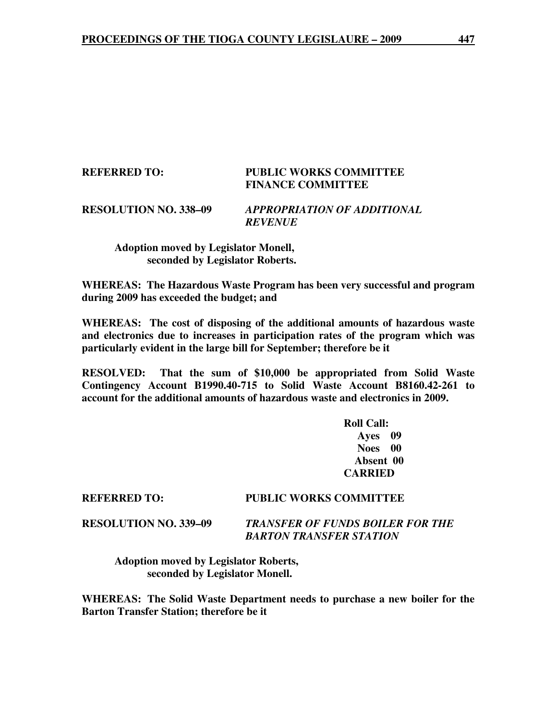## **REFERRED TO: PUBLIC WORKS COMMITTEE FINANCE COMMITTEE**

## **RESOLUTION NO. 338–09** *APPROPRIATION OF ADDITIONAL REVENUE*

 **Adoption moved by Legislator Monell, seconded by Legislator Roberts.** 

**WHEREAS: The Hazardous Waste Program has been very successful and program during 2009 has exceeded the budget; and** 

**WHEREAS: The cost of disposing of the additional amounts of hazardous waste and electronics due to increases in participation rates of the program which was particularly evident in the large bill for September; therefore be it** 

**RESOLVED: That the sum of \$10,000 be appropriated from Solid Waste Contingency Account B1990.40-715 to Solid Waste Account B8160.42-261 to account for the additional amounts of hazardous waste and electronics in 2009.** 

> **Roll Call: Ayes 09 Noes 00 Absent 00 CARRIED**

# **REFERRED TO: PUBLIC WORKS COMMITTEE**

**RESOLUTION NO. 339–09** *TRANSFER OF FUNDS BOILER FOR THE BARTON TRANSFER STATION* 

 **Adoption moved by Legislator Roberts, seconded by Legislator Monell.** 

**WHEREAS: The Solid Waste Department needs to purchase a new boiler for the Barton Transfer Station; therefore be it**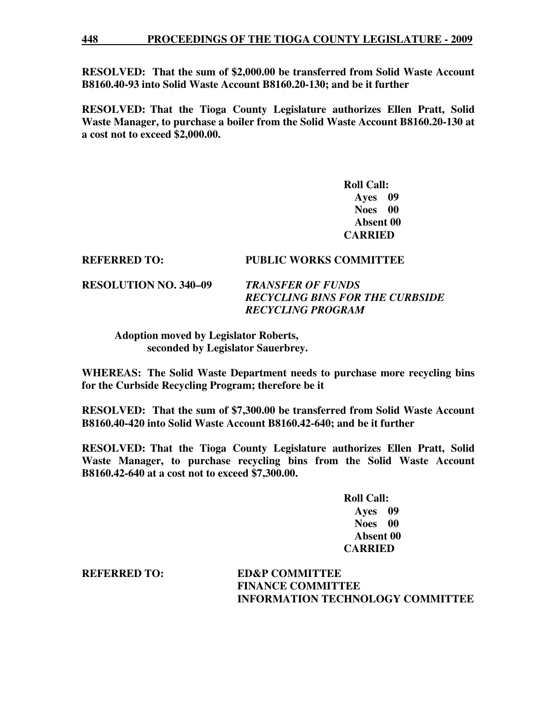**RESOLVED: That the sum of \$2,000.00 be transferred from Solid Waste Account B8160.40-93 into Solid Waste Account B8160.20-130; and be it further** 

**RESOLVED: That the Tioga County Legislature authorizes Ellen Pratt, Solid Waste Manager, to purchase a boiler from the Solid Waste Account B8160.20-130 at a cost not to exceed \$2,000.00.** 

> **Roll Call: Ayes 09 Noes 00 Absent 00 CARRIED**

## **REFERRED TO: PUBLIC WORKS COMMITTEE**

**RESOLUTION NO. 340–09** *TRANSFER OF FUNDS* 

*RECYCLING BINS FOR THE CURBSIDE RECYCLING PROGRAM* 

 **Adoption moved by Legislator Roberts, seconded by Legislator Sauerbrey.** 

**WHEREAS: The Solid Waste Department needs to purchase more recycling bins for the Curbside Recycling Program; therefore be it**

**RESOLVED: That the sum of \$7,300.00 be transferred from Solid Waste Account B8160.40-420 into Solid Waste Account B8160.42-640; and be it further** 

**RESOLVED: That the Tioga County Legislature authorizes Ellen Pratt, Solid Waste Manager, to purchase recycling bins from the Solid Waste Account B8160.42-640 at a cost not to exceed \$7,300.00.** 

> **Roll Call: Ayes 09 Noes 00 Absent 00 CARRIED**

**REFERRED TO: ED&P COMMITTEE FINANCE COMMITTEE INFORMATION TECHNOLOGY COMMITTEE**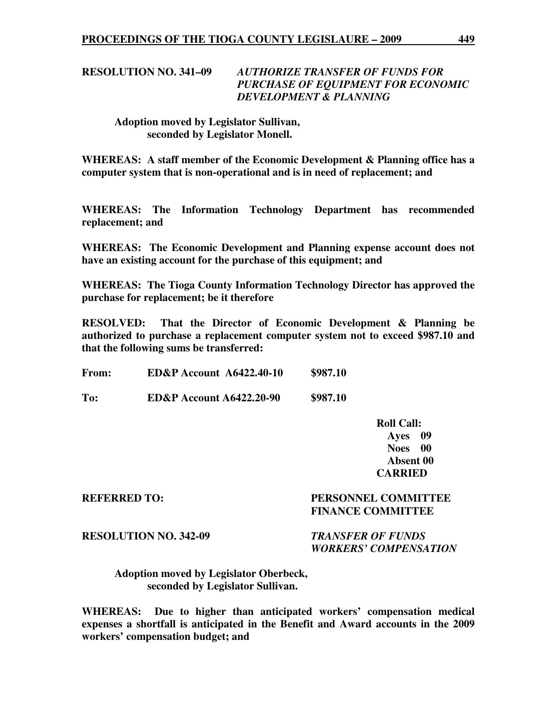# **RESOLUTION NO. 341–09** *AUTHORIZE TRANSFER OF FUNDS FOR PURCHASE OF EQUIPMENT FOR ECONOMIC DEVELOPMENT & PLANNING*

# **Adoption moved by Legislator Sullivan, seconded by Legislator Monell.**

**WHEREAS: A staff member of the Economic Development & Planning office has a computer system that is non-operational and is in need of replacement; and** 

**WHEREAS: The Information Technology Department has recommended replacement; and** 

**WHEREAS: The Economic Development and Planning expense account does not have an existing account for the purchase of this equipment; and** 

**WHEREAS: The Tioga County Information Technology Director has approved the purchase for replacement; be it therefore** 

**RESOLVED: That the Director of Economic Development & Planning be authorized to purchase a replacement computer system not to exceed \$987.10 and that the following sums be transferred:** 

**From: ED&P Account A6422.40-10 \$987.10** 

**To: ED&P Account A6422.20-90 \$987.10** 

 **Roll Call: Ayes 09 Noes 00 Absent 00 CARRIED** 

# **REFERRED TO: PERSONNEL COMMITTEE FINANCE COMMITTEE**

# **RESOLUTION NO. 342-09** *TRANSFER OF FUNDS*

 *WORKERS' COMPENSATION* 

 **Adoption moved by Legislator Oberbeck, seconded by Legislator Sullivan.** 

**WHEREAS: Due to higher than anticipated workers' compensation medical expenses a shortfall is anticipated in the Benefit and Award accounts in the 2009 workers' compensation budget; and**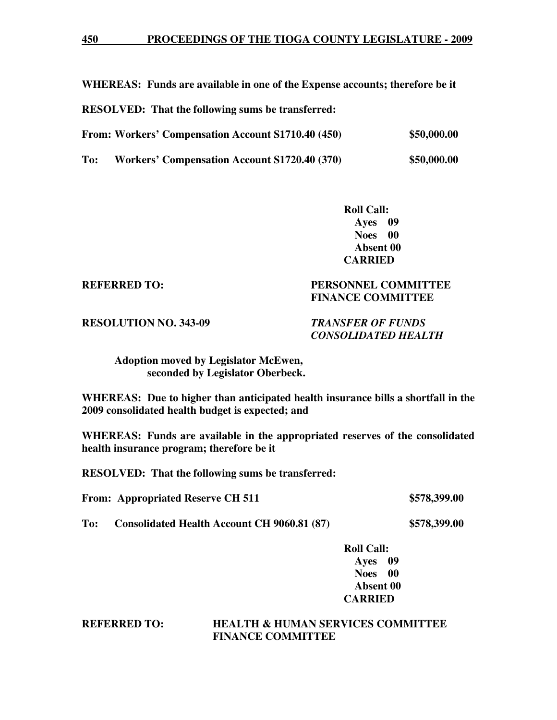**WHEREAS: Funds are available in one of the Expense accounts; therefore be it** 

**RESOLVED: That the following sums be transferred:** 

| From: Workers' Compensation Account S1710.40 (450) |  | \$50,000.00 |
|----------------------------------------------------|--|-------------|
|                                                    |  |             |

**To: Workers' Compensation Account S1720.40 (370) \$50,000.00** 

 **Roll Call: Ayes 09 Noes 00 Absent 00 CARRIED** 

# **REFERRED TO: PERSONNEL COMMITTEE FINANCE COMMITTEE**

**RESOLUTION NO. 343-09** *TRANSFER OF FUNDS* 

 *CONSOLIDATED HEALTH* 

 **Adoption moved by Legislator McEwen, seconded by Legislator Oberbeck.** 

**WHEREAS: Due to higher than anticipated health insurance bills a shortfall in the 2009 consolidated health budget is expected; and** 

**WHEREAS: Funds are available in the appropriated reserves of the consolidated health insurance program; therefore be it** 

**RESOLVED: That the following sums be transferred:** 

**From: Appropriated Reserve CH 511 \$578,399.00** 

**To: Consolidated Health Account CH 9060.81 (87) \$578,399.00** 

# **Roll Call: Ayes 09 Noes 00 Absent 00 CARRIED**

**REFERRED TO: HEALTH & HUMAN SERVICES COMMITTEE FINANCE COMMITTEE**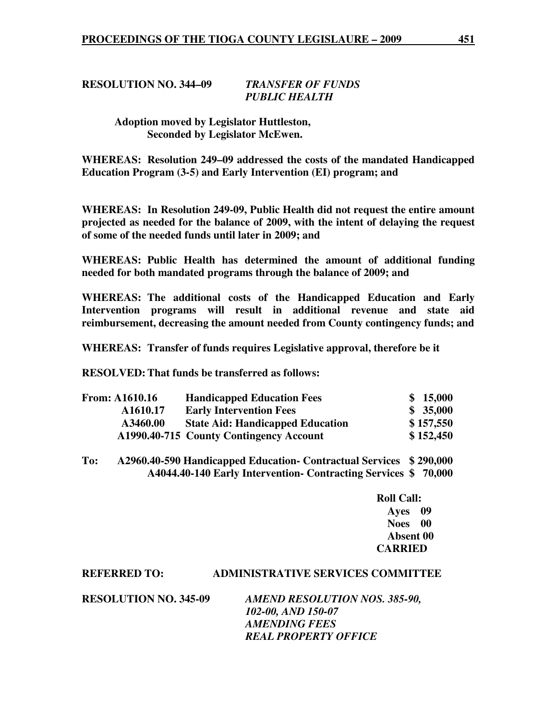# **RESOLUTION NO. 344–09** *TRANSFER OF FUNDS PUBLIC HEALTH*

# **Adoption moved by Legislator Huttleston, Seconded by Legislator McEwen.**

**WHEREAS: Resolution 249–09 addressed the costs of the mandated Handicapped Education Program (3-5) and Early Intervention (EI) program; and** 

**WHEREAS: In Resolution 249-09, Public Health did not request the entire amount projected as needed for the balance of 2009, with the intent of delaying the request of some of the needed funds until later in 2009; and** 

**WHEREAS: Public Health has determined the amount of additional funding needed for both mandated programs through the balance of 2009; and** 

**WHEREAS: The additional costs of the Handicapped Education and Early Intervention programs will result in additional revenue and state aid reimbursement, decreasing the amount needed from County contingency funds; and** 

**WHEREAS: Transfer of funds requires Legislative approval, therefore be it** 

**RESOLVED: That funds be transferred as follows:** 

| <b>From: A1610.16</b> | <b>Handicapped Education Fees</b>       | \$15,000  |
|-----------------------|-----------------------------------------|-----------|
| A1610.17              | <b>Early Intervention Fees</b>          | \$35,000  |
| A3460.00              | <b>State Aid: Handicapped Education</b> | \$157,550 |
|                       | A1990.40-715 County Contingency Account | \$152,450 |

**To: A2960.40-590 Handicapped Education- Contractual Services \$ 290,000 A4044.40-140 Early Intervention- Contracting Services \$ 70,000** 

> **Roll Call: Ayes 09 Noes 00 Absent 00 CARRIED**

#### **REFERRED TO: ADMINISTRATIVE SERVICES COMMITTEE**

**RESOLUTION NO. 345-09** *AMEND RESOLUTION NOS. 385-90, 102-00, AND 150-07 AMENDING FEES REAL PROPERTY OFFICE*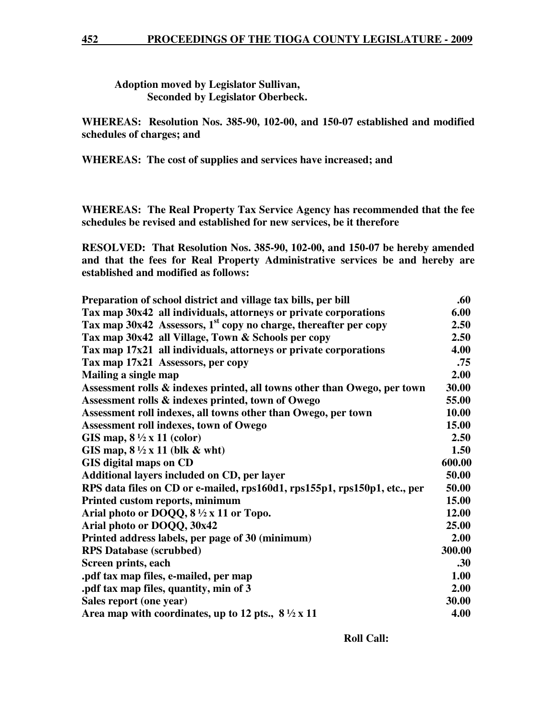**Adoption moved by Legislator Sullivan, Seconded by Legislator Oberbeck.** 

**WHEREAS: Resolution Nos. 385-90, 102-00, and 150-07 established and modified schedules of charges; and** 

**WHEREAS: The cost of supplies and services have increased; and** 

**WHEREAS: The Real Property Tax Service Agency has recommended that the fee schedules be revised and established for new services, be it therefore** 

**RESOLVED: That Resolution Nos. 385-90, 102-00, and 150-07 be hereby amended and that the fees for Real Property Administrative services be and hereby are established and modified as follows:** 

| Preparation of school district and village tax bills, per bill               | .60    |
|------------------------------------------------------------------------------|--------|
| Tax map 30x42 all individuals, attorneys or private corporations             | 6.00   |
| Tax map 30x42 Assessors, 1 <sup>st</sup> copy no charge, thereafter per copy | 2.50   |
| Tax map 30x42 all Village, Town & Schools per copy                           | 2.50   |
| Tax map 17x21 all individuals, attorneys or private corporations             | 4.00   |
| Tax map 17x21 Assessors, per copy                                            | .75    |
| Mailing a single map                                                         | 2.00   |
| Assessment rolls & indexes printed, all towns other than Owego, per town     | 30.00  |
| Assessment rolls & indexes printed, town of Owego                            | 55.00  |
| Assessment roll indexes, all towns other than Owego, per town                | 10.00  |
| Assessment roll indexes, town of Owego                                       | 15.00  |
| GIS map, $8\frac{1}{2} \times 11$ (color)                                    | 2.50   |
| GIS map, $8\frac{1}{2} \times 11$ (blk & wht)                                | 1.50   |
| GIS digital maps on CD                                                       | 600.00 |
| Additional layers included on CD, per layer                                  | 50.00  |
| RPS data files on CD or e-mailed, rps160d1, rps155p1, rps150p1, etc., per    | 50.00  |
| Printed custom reports, minimum                                              | 15.00  |
| Arial photo or DOQQ, $8\frac{1}{2} \times 11$ or Topo.                       | 12.00  |
| Arial photo or DOQQ, 30x42                                                   | 25.00  |
| Printed address labels, per page of 30 (minimum)                             | 2.00   |
| <b>RPS</b> Database (scrubbed)                                               | 300.00 |
| Screen prints, each                                                          | .30    |
| .pdf tax map files, e-mailed, per map                                        | 1.00   |
| .pdf tax map files, quantity, min of 3                                       | 2.00   |
| Sales report (one year)                                                      | 30.00  |
| Area map with coordinates, up to 12 pts., $8\frac{1}{2} \times 11$           | 4.00   |

 **Roll Call:**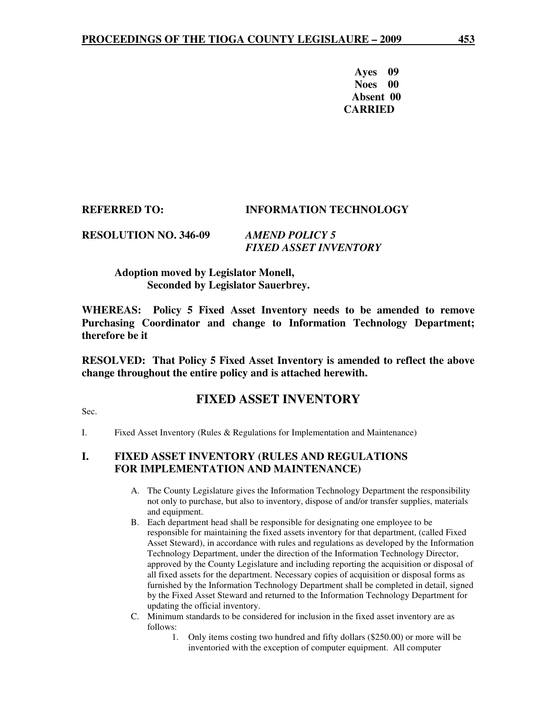**Ayes 09 Noes 00 Absent 00 CARRIED** 

# **REFERRED TO: INFORMATION TECHNOLOGY**

**RESOLUTION NO. 346-09** *AMEND POLICY 5 FIXED ASSET INVENTORY* 

# **Adoption moved by Legislator Monell, Seconded by Legislator Sauerbrey.**

**WHEREAS: Policy 5 Fixed Asset Inventory needs to be amended to remove Purchasing Coordinator and change to Information Technology Department; therefore be it** 

**RESOLVED: That Policy 5 Fixed Asset Inventory is amended to reflect the above change throughout the entire policy and is attached herewith.** 

# **FIXED ASSET INVENTORY**

Sec.

I. Fixed Asset Inventory (Rules & Regulations for Implementation and Maintenance)

# **I. FIXED ASSET INVENTORY (RULES AND REGULATIONS FOR IMPLEMENTATION AND MAINTENANCE)**

- A. The County Legislature gives the Information Technology Department the responsibility not only to purchase, but also to inventory, dispose of and/or transfer supplies, materials and equipment.
- B. Each department head shall be responsible for designating one employee to be responsible for maintaining the fixed assets inventory for that department, (called Fixed Asset Steward), in accordance with rules and regulations as developed by the Information Technology Department, under the direction of the Information Technology Director, approved by the County Legislature and including reporting the acquisition or disposal of all fixed assets for the department. Necessary copies of acquisition or disposal forms as furnished by the Information Technology Department shall be completed in detail, signed by the Fixed Asset Steward and returned to the Information Technology Department for updating the official inventory.
- C. Minimum standards to be considered for inclusion in the fixed asset inventory are as follows:
	- 1. Only items costing two hundred and fifty dollars (\$250.00) or more will be inventoried with the exception of computer equipment. All computer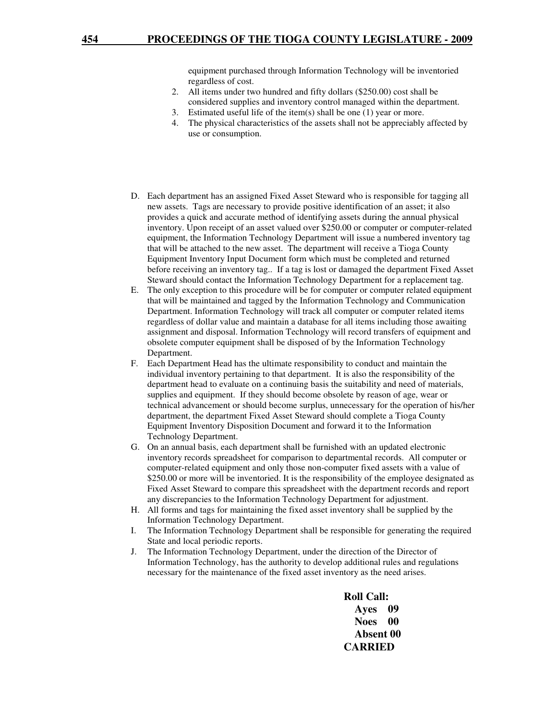equipment purchased through Information Technology will be inventoried regardless of cost.

- 2. All items under two hundred and fifty dollars (\$250.00) cost shall be considered supplies and inventory control managed within the department.
- 3. Estimated useful life of the item(s) shall be one (1) year or more.
- 4. The physical characteristics of the assets shall not be appreciably affected by use or consumption.
- D. Each department has an assigned Fixed Asset Steward who is responsible for tagging all new assets. Tags are necessary to provide positive identification of an asset; it also provides a quick and accurate method of identifying assets during the annual physical inventory. Upon receipt of an asset valued over \$250.00 or computer or computer-related equipment, the Information Technology Department will issue a numbered inventory tag that will be attached to the new asset. The department will receive a Tioga County Equipment Inventory Input Document form which must be completed and returned before receiving an inventory tag.. If a tag is lost or damaged the department Fixed Asset Steward should contact the Information Technology Department for a replacement tag.
- E. The only exception to this procedure will be for computer or computer related equipment that will be maintained and tagged by the Information Technology and Communication Department. Information Technology will track all computer or computer related items regardless of dollar value and maintain a database for all items including those awaiting assignment and disposal. Information Technology will record transfers of equipment and obsolete computer equipment shall be disposed of by the Information Technology Department.
- F. Each Department Head has the ultimate responsibility to conduct and maintain the individual inventory pertaining to that department. It is also the responsibility of the department head to evaluate on a continuing basis the suitability and need of materials, supplies and equipment. If they should become obsolete by reason of age, wear or technical advancement or should become surplus, unnecessary for the operation of his/her department, the department Fixed Asset Steward should complete a Tioga County Equipment Inventory Disposition Document and forward it to the Information Technology Department.
- G. On an annual basis, each department shall be furnished with an updated electronic inventory records spreadsheet for comparison to departmental records. All computer or computer-related equipment and only those non-computer fixed assets with a value of \$250.00 or more will be inventoried. It is the responsibility of the employee designated as Fixed Asset Steward to compare this spreadsheet with the department records and report any discrepancies to the Information Technology Department for adjustment.
- H. All forms and tags for maintaining the fixed asset inventory shall be supplied by the Information Technology Department.
- I. The Information Technology Department shall be responsible for generating the required State and local periodic reports.
- J. The Information Technology Department, under the direction of the Director of Information Technology, has the authority to develop additional rules and regulations necessary for the maintenance of the fixed asset inventory as the need arises.

 **Roll Call: Ayes 09 Noes 00 Absent 00 CARRIED**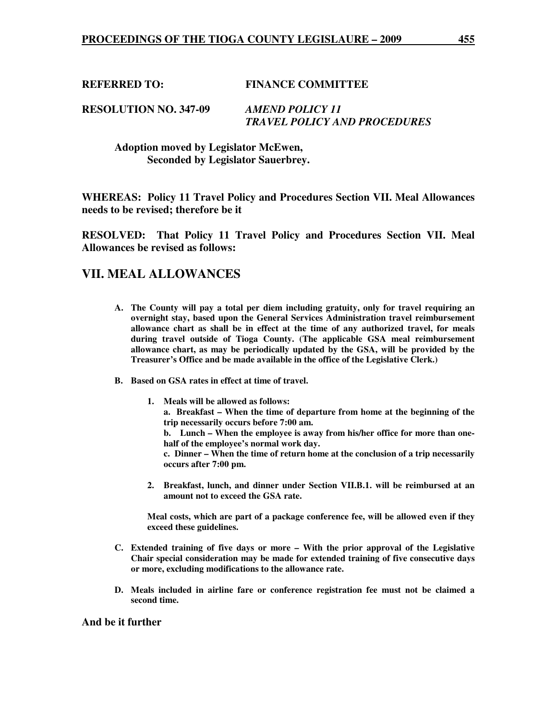**REFERRED TO: FINANCE COMMITTEE** 

### **RESOLUTION NO. 347-09** *AMEND POLICY 11 TRAVEL POLICY AND PROCEDURES*

 **Adoption moved by Legislator McEwen, Seconded by Legislator Sauerbrey.** 

**WHEREAS: Policy 11 Travel Policy and Procedures Section VII. Meal Allowances needs to be revised; therefore be it** 

**RESOLVED: That Policy 11 Travel Policy and Procedures Section VII. Meal Allowances be revised as follows:** 

# **VII. MEAL ALLOWANCES**

- **A. The County will pay a total per diem including gratuity, only for travel requiring an overnight stay, based upon the General Services Administration travel reimbursement allowance chart as shall be in effect at the time of any authorized travel, for meals during travel outside of Tioga County. (The applicable GSA meal reimbursement allowance chart, as may be periodically updated by the GSA, will be provided by the Treasurer's Office and be made available in the office of the Legislative Clerk.)**
- **B. Based on GSA rates in effect at time of travel.**

**1. Meals will be allowed as follows:** 

**a. Breakfast – When the time of departure from home at the beginning of the trip necessarily occurs before 7:00 am.** 

**b. Lunch – When the employee is away from his/her office for more than onehalf of the employee's normal work day.** 

**c. Dinner – When the time of return home at the conclusion of a trip necessarily occurs after 7:00 pm.** 

**2. Breakfast, lunch, and dinner under Section VII.B.1. will be reimbursed at an amount not to exceed the GSA rate.** 

**Meal costs, which are part of a package conference fee, will be allowed even if they exceed these guidelines.** 

- **C. Extended training of five days or more With the prior approval of the Legislative Chair special consideration may be made for extended training of five consecutive days or more, excluding modifications to the allowance rate.**
- **D. Meals included in airline fare or conference registration fee must not be claimed a second time.**

#### **And be it further**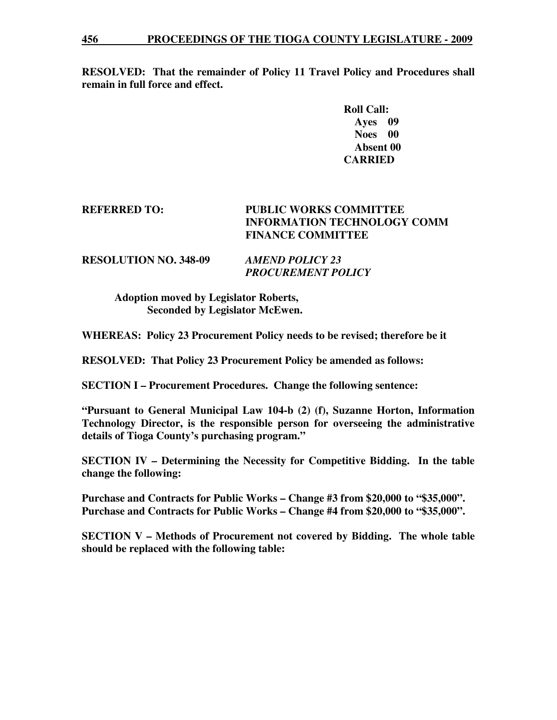**RESOLVED: That the remainder of Policy 11 Travel Policy and Procedures shall remain in full force and effect.** 

> **Roll Call: Ayes 09 Noes 00 Absent 00 CARRIED**

# **REFERRED TO: PUBLIC WORKS COMMITTEE INFORMATION TECHNOLOGY COMM FINANCE COMMITTEE**

## **RESOLUTION NO. 348-09** *AMEND POLICY 23 PROCUREMENT POLICY*

 **Adoption moved by Legislator Roberts, Seconded by Legislator McEwen.** 

**WHEREAS: Policy 23 Procurement Policy needs to be revised; therefore be it** 

**RESOLVED: That Policy 23 Procurement Policy be amended as follows:** 

**SECTION I – Procurement Procedures. Change the following sentence:** 

**"Pursuant to General Municipal Law 104-b (2) (f), Suzanne Horton, Information Technology Director, is the responsible person for overseeing the administrative details of Tioga County's purchasing program."** 

**SECTION IV – Determining the Necessity for Competitive Bidding. In the table change the following:** 

**Purchase and Contracts for Public Works – Change #3 from \$20,000 to "\$35,000". Purchase and Contracts for Public Works – Change #4 from \$20,000 to "\$35,000".** 

**SECTION V – Methods of Procurement not covered by Bidding. The whole table should be replaced with the following table:**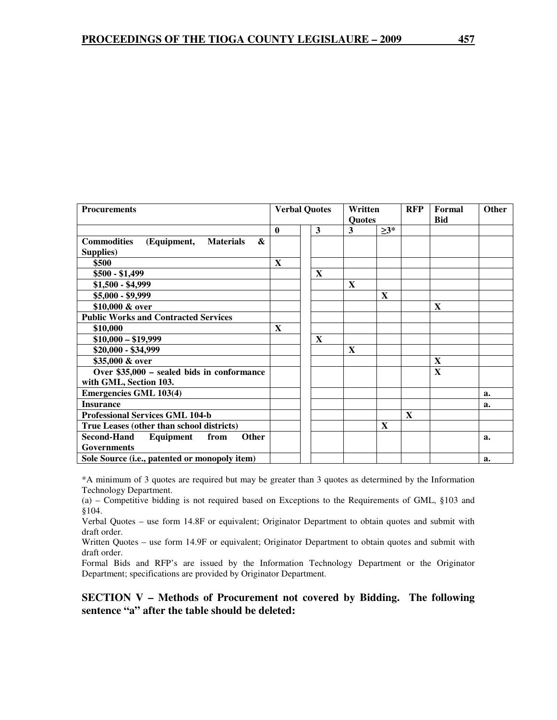| <b>Procurements</b>                                        | <b>Verbal Quotes</b> |              | Written<br><b>Ouotes</b> |             | <b>RFP</b>   | Formal<br><b>Bid</b> | Other |
|------------------------------------------------------------|----------------------|--------------|--------------------------|-------------|--------------|----------------------|-------|
|                                                            | $\mathbf{0}$         | 3            | $\mathbf{3}$             | $\geq 3^*$  |              |                      |       |
| <b>Commodities</b><br>&<br>(Equipment,<br><b>Materials</b> |                      |              |                          |             |              |                      |       |
| Supplies)                                                  |                      |              |                          |             |              |                      |       |
| \$500                                                      | X                    |              |                          |             |              |                      |       |
| $$500 - $1,499$                                            |                      | $\mathbf{X}$ |                          |             |              |                      |       |
| $$1,500 - $4,999$                                          |                      |              | X                        |             |              |                      |       |
| $$5,000 - $9,999$                                          |                      |              |                          | $\mathbf X$ |              |                      |       |
| \$10,000 & over                                            |                      |              |                          |             |              | X                    |       |
| <b>Public Works and Contracted Services</b>                |                      |              |                          |             |              |                      |       |
| \$10,000                                                   | X                    |              |                          |             |              |                      |       |
| $$10,000 - $19,999$                                        |                      | X            |                          |             |              |                      |       |
| \$20,000 - \$34,999                                        |                      |              | X                        |             |              |                      |       |
| \$35,000 & over                                            |                      |              |                          |             |              | $\mathbf X$          |       |
| Over \$35,000 - sealed bids in conformance                 |                      |              |                          |             |              | X                    |       |
| with GML, Section 103.                                     |                      |              |                          |             |              |                      |       |
| <b>Emergencies GML 103(4)</b>                              |                      |              |                          |             |              |                      | a.    |
| <b>Insurance</b>                                           |                      |              |                          |             |              |                      | a.    |
| <b>Professional Services GML 104-b</b>                     |                      |              |                          |             | $\mathbf{x}$ |                      |       |
| True Leases (other than school districts)                  |                      |              |                          | X           |              |                      |       |
| Second-Hand<br>from<br><b>Other</b><br>Equipment           |                      |              |                          |             |              |                      | a.    |
| <b>Governments</b>                                         |                      |              |                          |             |              |                      |       |
| Sole Source (i.e., patented or monopoly item)              |                      |              |                          |             |              |                      | a.    |

\*A minimum of 3 quotes are required but may be greater than 3 quotes as determined by the Information Technology Department.

(a) – Competitive bidding is not required based on Exceptions to the Requirements of GML, §103 and §104.

Verbal Quotes – use form 14.8F or equivalent; Originator Department to obtain quotes and submit with draft order.

Written Quotes – use form 14.9F or equivalent; Originator Department to obtain quotes and submit with draft order.

Formal Bids and RFP's are issued by the Information Technology Department or the Originator Department; specifications are provided by Originator Department.

**SECTION V – Methods of Procurement not covered by Bidding. The following sentence "a" after the table should be deleted:**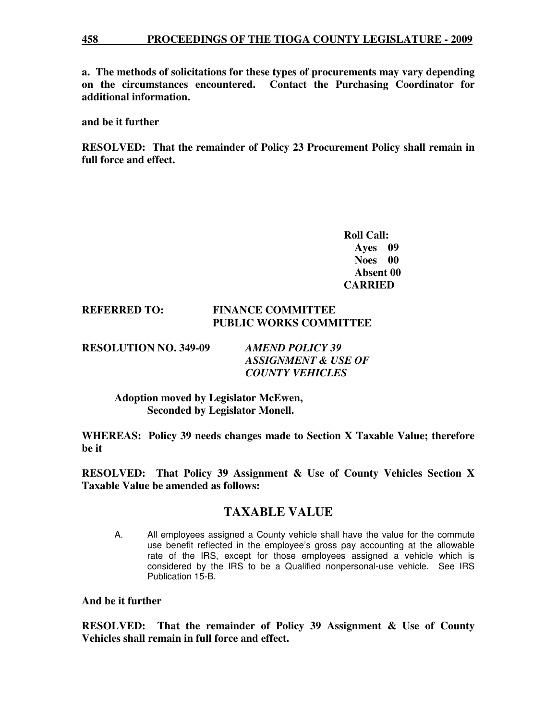**a. The methods of solicitations for these types of procurements may vary depending on the circumstances encountered. Contact the Purchasing Coordinator for additional information.** 

**and be it further** 

**RESOLVED: That the remainder of Policy 23 Procurement Policy shall remain in full force and effect.** 

> **Roll Call: Ayes 09 Noes 00 Absent 00 CARRIED**

### **REFERRED TO: FINANCE COMMITTEE PUBLIC WORKS COMMITTEE**

**RESOLUTION NO. 349-09** *AMEND POLICY 39* 

 *ASSIGNMENT & USE OF COUNTY VEHICLES* 

 **Adoption moved by Legislator McEwen, Seconded by Legislator Monell.** 

**WHEREAS: Policy 39 needs changes made to Section X Taxable Value; therefore be it** 

**RESOLVED: That Policy 39 Assignment & Use of County Vehicles Section X Taxable Value be amended as follows:** 

# **TAXABLE VALUE**

A. All employees assigned a County vehicle shall have the value for the commute use benefit reflected in the employee's gross pay accounting at the allowable rate of the IRS, except for those employees assigned a vehicle which is considered by the IRS to be a Qualified nonpersonal-use vehicle. See IRS Publication 15-B.

**And be it further** 

**RESOLVED: That the remainder of Policy 39 Assignment & Use of County Vehicles shall remain in full force and effect.**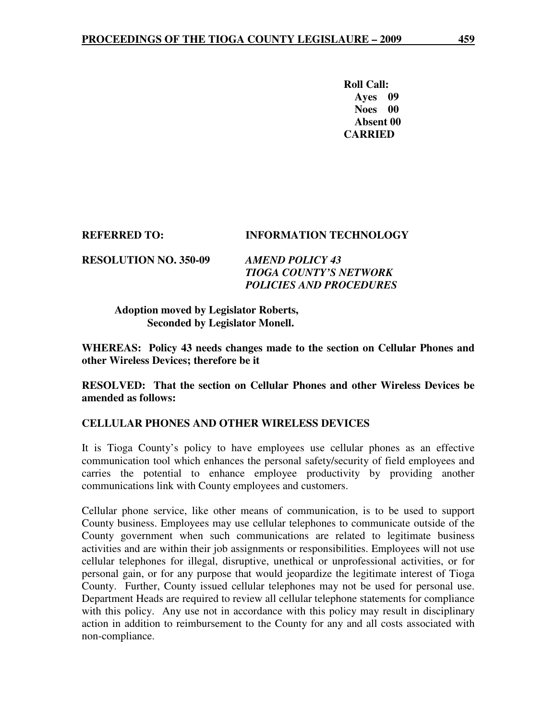**Roll Call: Ayes 09 Noes 00 Absent 00 CARRIED** 

# **REFERRED TO: INFORMATION TECHNOLOGY**

**RESOLUTION NO. 350-09** *AMEND POLICY 43 TIOGA COUNTY'S NETWORK POLICIES AND PROCEDURES* 

> **Adoption moved by Legislator Roberts, Seconded by Legislator Monell.**

**WHEREAS: Policy 43 needs changes made to the section on Cellular Phones and other Wireless Devices; therefore be it** 

**RESOLVED: That the section on Cellular Phones and other Wireless Devices be amended as follows:** 

# **CELLULAR PHONES AND OTHER WIRELESS DEVICES**

It is Tioga County's policy to have employees use cellular phones as an effective communication tool which enhances the personal safety/security of field employees and carries the potential to enhance employee productivity by providing another communications link with County employees and customers.

Cellular phone service, like other means of communication, is to be used to support County business. Employees may use cellular telephones to communicate outside of the County government when such communications are related to legitimate business activities and are within their job assignments or responsibilities. Employees will not use cellular telephones for illegal, disruptive, unethical or unprofessional activities, or for personal gain, or for any purpose that would jeopardize the legitimate interest of Tioga County. Further, County issued cellular telephones may not be used for personal use. Department Heads are required to review all cellular telephone statements for compliance with this policy. Any use not in accordance with this policy may result in disciplinary action in addition to reimbursement to the County for any and all costs associated with non-compliance.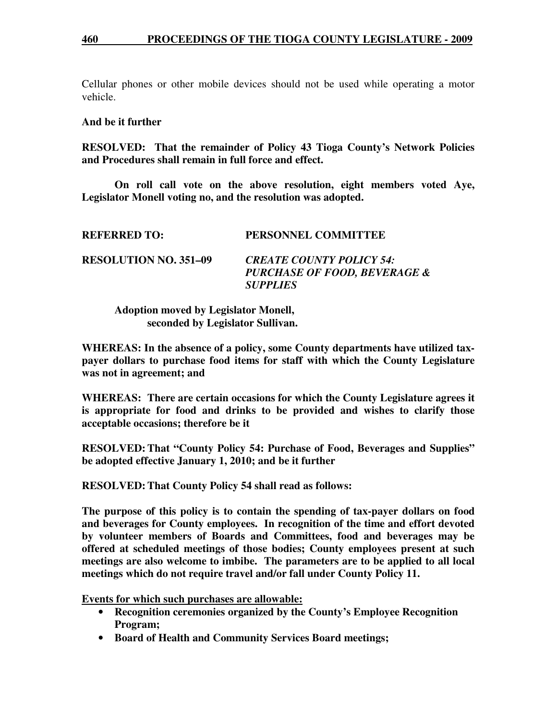### **460 PROCEEDINGS OF THE TIOGA COUNTY LEGISLATURE - 2009**

Cellular phones or other mobile devices should not be used while operating a motor vehicle.

#### **And be it further**

**RESOLVED: That the remainder of Policy 43 Tioga County's Network Policies and Procedures shall remain in full force and effect.** 

 **On roll call vote on the above resolution, eight members voted Aye, Legislator Monell voting no, and the resolution was adopted.** 

| <b>REFERRED TO:</b>          | PERSONNEL COMMITTEE                                                                           |
|------------------------------|-----------------------------------------------------------------------------------------------|
| <b>RESOLUTION NO. 351–09</b> | <b>CREATE COUNTY POLICY 54:</b><br><b>PURCHASE OF FOOD, BEVERAGE &amp;</b><br><b>SUPPLIES</b> |

 **Adoption moved by Legislator Monell, seconded by Legislator Sullivan.** 

**WHEREAS: In the absence of a policy, some County departments have utilized taxpayer dollars to purchase food items for staff with which the County Legislature was not in agreement; and** 

**WHEREAS: There are certain occasions for which the County Legislature agrees it is appropriate for food and drinks to be provided and wishes to clarify those acceptable occasions; therefore be it** 

**RESOLVED: That "County Policy 54: Purchase of Food, Beverages and Supplies" be adopted effective January 1, 2010; and be it further** 

**RESOLVED: That County Policy 54 shall read as follows:** 

**The purpose of this policy is to contain the spending of tax-payer dollars on food and beverages for County employees. In recognition of the time and effort devoted by volunteer members of Boards and Committees, food and beverages may be offered at scheduled meetings of those bodies; County employees present at such meetings are also welcome to imbibe. The parameters are to be applied to all local meetings which do not require travel and/or fall under County Policy 11.** 

**Events for which such purchases are allowable:**

- **Recognition ceremonies organized by the County's Employee Recognition Program;**
- **Board of Health and Community Services Board meetings;**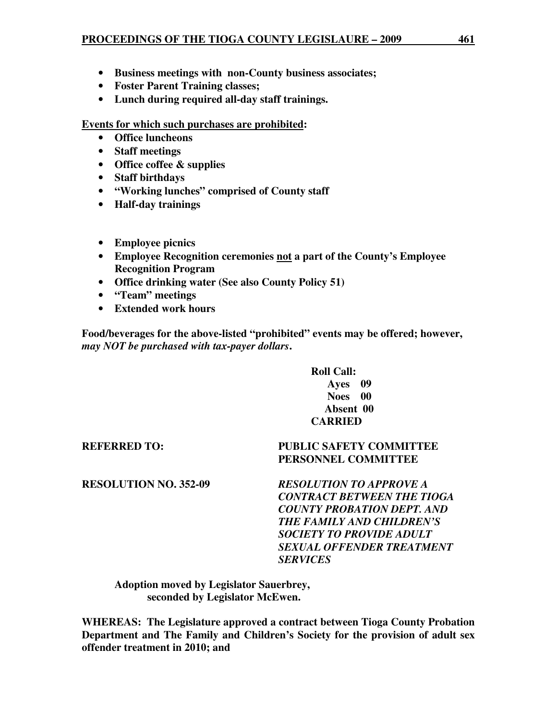- **Business meetings with non-County business associates;**
- **Foster Parent Training classes;**
- **Lunch during required all-day staff trainings.**

# **Events for which such purchases are prohibited:**

- **Office luncheons**
- **Staff meetings**
- **Office coffee & supplies**
- **Staff birthdays**
- **"Working lunches" comprised of County staff**
- **Half-day trainings**
- **Employee picnics**
- **Employee Recognition ceremonies not a part of the County's Employee Recognition Program**
- **Office drinking water (See also County Policy 51)**
- **"Team" meetings**
- **Extended work hours**

**Food/beverages for the above-listed "prohibited" events may be offered; however,**  *may NOT be purchased with tax-payer dollars***.** 

> **Roll Call: Ayes 09 Noes 00 Absent 00 CARRIED**

 **PERSONNEL COMMITTEE** 

# **REFERRED TO: PUBLIC SAFETY COMMITTEE**

**RESOLUTION NO. 352-09** *RESOLUTION TO APPROVE A CONTRACT BETWEEN THE TIOGA COUNTY PROBATION DEPT. AND THE FAMILY AND CHILDREN'S SOCIETY TO PROVIDE ADULT SEXUAL OFFENDER TREATMENT* 

 **Adoption moved by Legislator Sauerbrey, seconded by Legislator McEwen.** 

**WHEREAS: The Legislature approved a contract between Tioga County Probation Department and The Family and Children's Society for the provision of adult sex offender treatment in 2010; and** 

 *SERVICES*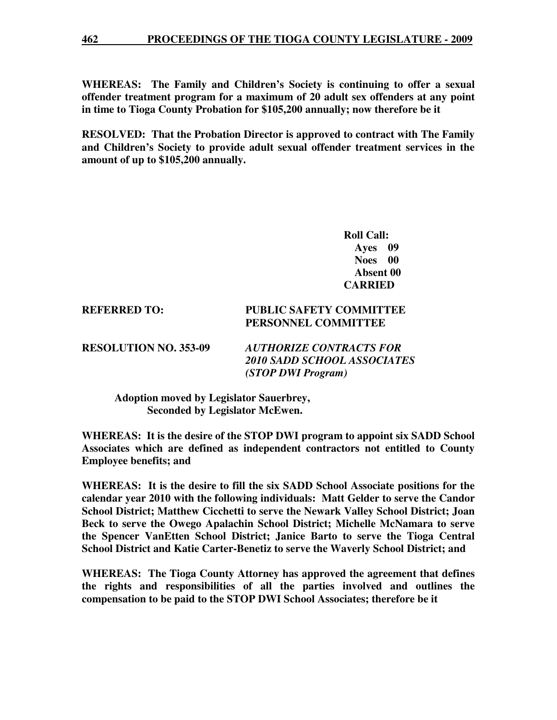#### **462 PROCEEDINGS OF THE TIOGA COUNTY LEGISLATURE - 2009**

**WHEREAS: The Family and Children's Society is continuing to offer a sexual offender treatment program for a maximum of 20 adult sex offenders at any point in time to Tioga County Probation for \$105,200 annually; now therefore be it** 

**RESOLVED: That the Probation Director is approved to contract with The Family and Children's Society to provide adult sexual offender treatment services in the amount of up to \$105,200 annually.** 

> **Roll Call: Ayes 09 Noes 00 Absent 00 CARRIED**

# **REFERRED TO: PUBLIC SAFETY COMMITTEE PERSONNEL COMMITTEE**

**RESOLUTION NO. 353-09** *AUTHORIZE CONTRACTS FOR 2010 SADD SCHOOL ASSOCIATES (STOP DWI Program)* 

 **Adoption moved by Legislator Sauerbrey, Seconded by Legislator McEwen.** 

**WHEREAS: It is the desire of the STOP DWI program to appoint six SADD School Associates which are defined as independent contractors not entitled to County Employee benefits; and** 

**WHEREAS: It is the desire to fill the six SADD School Associate positions for the calendar year 2010 with the following individuals: Matt Gelder to serve the Candor School District; Matthew Cicchetti to serve the Newark Valley School District; Joan Beck to serve the Owego Apalachin School District; Michelle McNamara to serve the Spencer VanEtten School District; Janice Barto to serve the Tioga Central School District and Katie Carter-Benetiz to serve the Waverly School District; and** 

**WHEREAS: The Tioga County Attorney has approved the agreement that defines the rights and responsibilities of all the parties involved and outlines the compensation to be paid to the STOP DWI School Associates; therefore be it**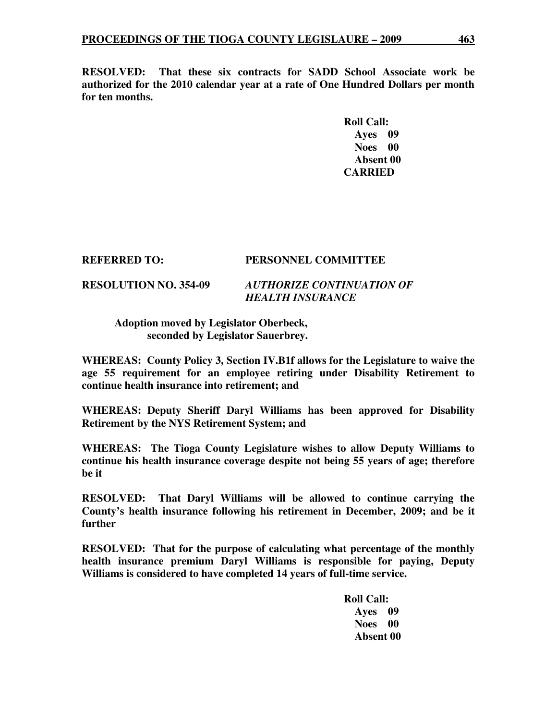**RESOLVED: That these six contracts for SADD School Associate work be authorized for the 2010 calendar year at a rate of One Hundred Dollars per month for ten months.** 

> **Roll Call: Ayes 09 Noes 00 Absent 00 CARRIED**

#### **REFERRED TO: PERSONNEL COMMITTEE**

# **RESOLUTION NO. 354-09** *AUTHORIZE CONTINUATION OF HEALTH INSURANCE*

# **Adoption moved by Legislator Oberbeck, seconded by Legislator Sauerbrey.**

**WHEREAS: County Policy 3, Section IV.B1f allows for the Legislature to waive the age 55 requirement for an employee retiring under Disability Retirement to continue health insurance into retirement; and** 

**WHEREAS: Deputy Sheriff Daryl Williams has been approved for Disability Retirement by the NYS Retirement System; and** 

**WHEREAS: The Tioga County Legislature wishes to allow Deputy Williams to continue his health insurance coverage despite not being 55 years of age; therefore be it** 

**RESOLVED: That Daryl Williams will be allowed to continue carrying the County's health insurance following his retirement in December, 2009; and be it further** 

**RESOLVED: That for the purpose of calculating what percentage of the monthly health insurance premium Daryl Williams is responsible for paying, Deputy Williams is considered to have completed 14 years of full-time service.** 

> **Roll Call: Ayes 09 Noes 00 Absent 00**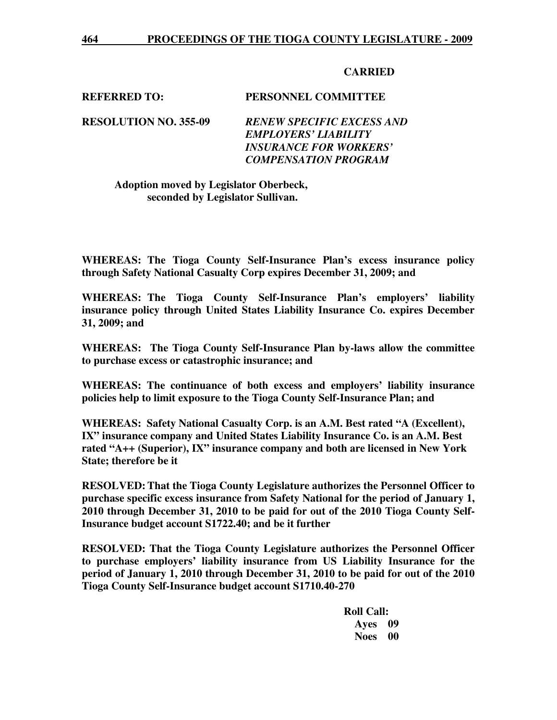# **CARRIED**

### **REFERRED TO: PERSONNEL COMMITTEE**

**RESOLUTION NO. 355-09** *RENEW SPECIFIC EXCESS AND EMPLOYERS' LIABILITY INSURANCE FOR WORKERS' COMPENSATION PROGRAM* 

# **Adoption moved by Legislator Oberbeck, seconded by Legislator Sullivan.**

**WHEREAS: The Tioga County Self-Insurance Plan's excess insurance policy through Safety National Casualty Corp expires December 31, 2009; and** 

**WHEREAS: The Tioga County Self-Insurance Plan's employers' liability insurance policy through United States Liability Insurance Co. expires December 31, 2009; and** 

**WHEREAS: The Tioga County Self-Insurance Plan by-laws allow the committee to purchase excess or catastrophic insurance; and** 

**WHEREAS: The continuance of both excess and employers' liability insurance policies help to limit exposure to the Tioga County Self-Insurance Plan; and** 

**WHEREAS: Safety National Casualty Corp. is an A.M. Best rated "A (Excellent), IX" insurance company and United States Liability Insurance Co. is an A.M. Best rated "A++ (Superior), IX" insurance company and both are licensed in New York State; therefore be it**

**RESOLVED: That the Tioga County Legislature authorizes the Personnel Officer to purchase specific excess insurance from Safety National for the period of January 1, 2010 through December 31, 2010 to be paid for out of the 2010 Tioga County Self-Insurance budget account S1722.40; and be it further** 

**RESOLVED: That the Tioga County Legislature authorizes the Personnel Officer to purchase employers' liability insurance from US Liability Insurance for the period of January 1, 2010 through December 31, 2010 to be paid for out of the 2010 Tioga County Self-Insurance budget account S1710.40-270** 

> **Roll Call: Ayes 09 Noes 00**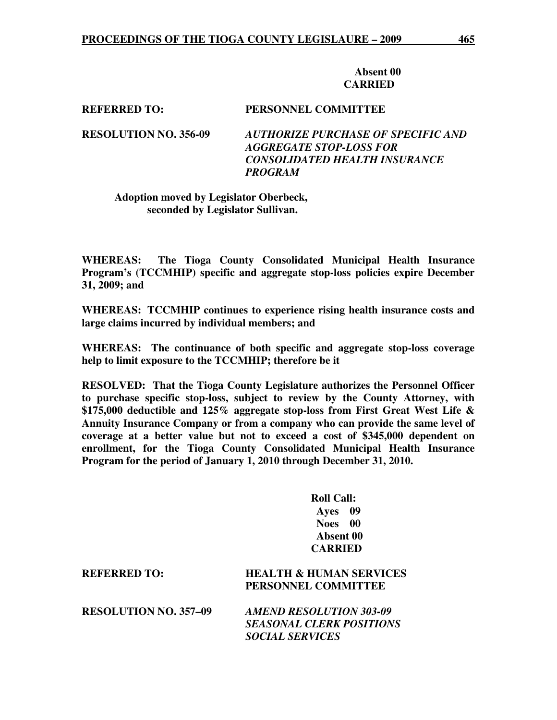#### **Absent 00 CARRIED**

**REFERRED TO: PERSONNEL COMMITTEE** 

**RESOLUTION NO. 356-09** *AUTHORIZE PURCHASE OF SPECIFIC AND AGGREGATE STOP-LOSS FOR CONSOLIDATED HEALTH INSURANCE PROGRAM* 

## **Adoption moved by Legislator Oberbeck, seconded by Legislator Sullivan.**

**WHEREAS: The Tioga County Consolidated Municipal Health Insurance Program's (TCCMHIP) specific and aggregate stop-loss policies expire December 31, 2009; and** 

**WHEREAS: TCCMHIP continues to experience rising health insurance costs and large claims incurred by individual members; and** 

**WHEREAS: The continuance of both specific and aggregate stop-loss coverage help to limit exposure to the TCCMHIP; therefore be it** 

**RESOLVED: That the Tioga County Legislature authorizes the Personnel Officer to purchase specific stop-loss, subject to review by the County Attorney, with \$175,000 deductible and 125% aggregate stop-loss from First Great West Life & Annuity Insurance Company or from a company who can provide the same level of coverage at a better value but not to exceed a cost of \$345,000 dependent on enrollment, for the Tioga County Consolidated Municipal Health Insurance Program for the period of January 1, 2010 through December 31, 2010.** 

> **Roll Call: Ayes 09 Noes 00 Absent 00 CARRIED**

| <b>REFERRED TO:</b>          | <b>HEALTH &amp; HUMAN SERVICES</b><br>PERSONNEL COMMITTEE                                   |
|------------------------------|---------------------------------------------------------------------------------------------|
| <b>RESOLUTION NO. 357-09</b> | <b>AMEND RESOLUTION 303-09</b><br><b>SEASONAL CLERK POSITIONS</b><br><b>SOCIAL SERVICES</b> |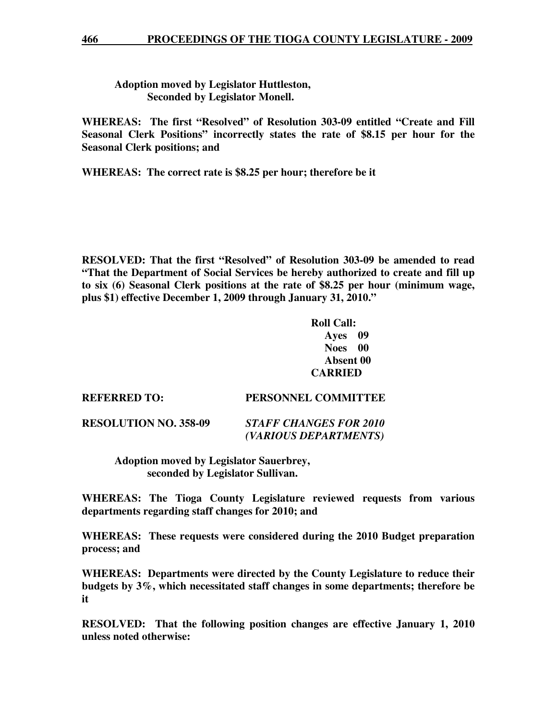**Adoption moved by Legislator Huttleston, Seconded by Legislator Monell.** 

**WHEREAS: The first "Resolved" of Resolution 303-09 entitled "Create and Fill Seasonal Clerk Positions" incorrectly states the rate of \$8.15 per hour for the Seasonal Clerk positions; and** 

**WHEREAS: The correct rate is \$8.25 per hour; therefore be it** 

**RESOLVED: That the first "Resolved" of Resolution 303-09 be amended to read "That the Department of Social Services be hereby authorized to create and fill up to six (6) Seasonal Clerk positions at the rate of \$8.25 per hour (minimum wage, plus \$1) effective December 1, 2009 through January 31, 2010."** 

> **Roll Call: Ayes 09 Noes 00 Absent 00 CARRIED**

 *(VARIOUS DEPARTMENTS)* 

| <b>REFERRED TO:</b>          | PERSONNEL COMMITTEE           |
|------------------------------|-------------------------------|
| <b>RESOLUTION NO. 358-09</b> | <b>STAFF CHANGES FOR 2010</b> |

 **Adoption moved by Legislator Sauerbrey, seconded by Legislator Sullivan.** 

**WHEREAS: The Tioga County Legislature reviewed requests from various departments regarding staff changes for 2010; and** 

**WHEREAS: These requests were considered during the 2010 Budget preparation process; and** 

**WHEREAS: Departments were directed by the County Legislature to reduce their budgets by 3%, which necessitated staff changes in some departments; therefore be it** 

**RESOLVED: That the following position changes are effective January 1, 2010 unless noted otherwise:**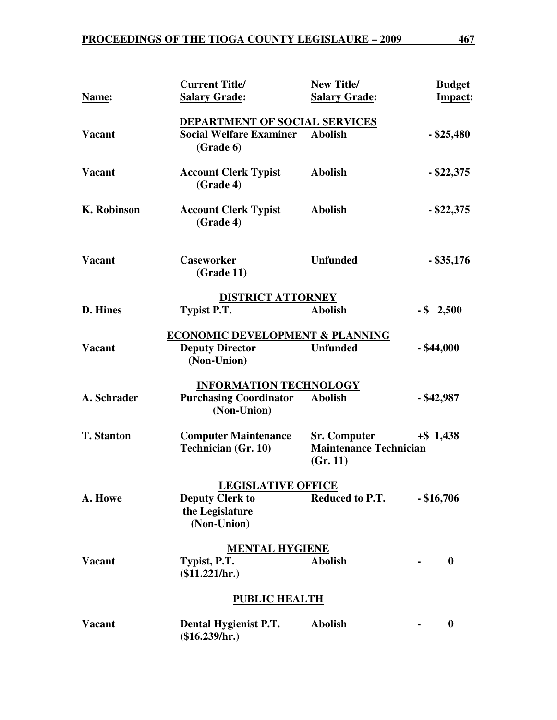|                    | <b>Current Title/</b>                                     | <b>New Title/</b>                                                | <b>Budget</b>    |
|--------------------|-----------------------------------------------------------|------------------------------------------------------------------|------------------|
| Name:              | <b>Salary Grade:</b>                                      | <b>Salary Grade:</b>                                             | Impact:          |
|                    | <b>DEPARTMENT OF SOCIAL SERVICES</b>                      |                                                                  |                  |
| <b>Vacant</b>      | <b>Social Welfare Examiner</b><br>(Grade 6)               | <b>Abolish</b>                                                   | $-$ \$25,480     |
| <b>Vacant</b>      | <b>Account Clerk Typist</b><br>(Grade 4)                  | <b>Abolish</b>                                                   | $-$ \$22,375     |
| <b>K. Robinson</b> | <b>Account Clerk Typist</b><br>(Grade 4)                  | <b>Abolish</b>                                                   | $-$ \$22,375     |
| <b>Vacant</b>      | <b>Caseworker</b><br>(Grade 11)                           | <b>Unfunded</b>                                                  | $-$ \$35,176     |
|                    | <b>DISTRICT ATTORNEY</b>                                  |                                                                  |                  |
| D. Hines           | <b>Typist P.T.</b>                                        | <b>Abolish</b>                                                   | $-$ \$ 2,500     |
|                    | ECONOMIC DEVELOPMENT & PLANNING                           |                                                                  |                  |
| <b>Vacant</b>      | <b>Deputy Director</b><br>(Non-Union)                     | <b>Unfunded</b>                                                  | $-$ \$44,000     |
|                    | <b>INFORMATION TECHNOLOGY</b>                             |                                                                  |                  |
| A. Schrader        | <b>Purchasing Coordinator</b><br>(Non-Union)              | <b>Abolish</b>                                                   | $-$ \$42,987     |
| <b>T. Stanton</b>  | <b>Computer Maintenance</b><br><b>Technician (Gr. 10)</b> | <b>Sr. Computer</b><br><b>Maintenance Technician</b><br>(Gr. 11) | $+$ \$1,438      |
|                    | <b>LEGISLATIVE OFFICE</b>                                 |                                                                  |                  |
| A. Howe            | <b>Deputy Clerk to</b><br>the Legislature<br>(Non-Union)  | Reduced to P.T.                                                  | $-$ \$16,706     |
|                    | <b>MENTAL HYGIENE</b>                                     |                                                                  |                  |
| <b>Vacant</b>      | Typist, P.T.<br>(\$11.221/hr.)                            | <b>Abolish</b>                                                   | $\boldsymbol{0}$ |
|                    | <b>PUBLIC HEALTH</b>                                      |                                                                  |                  |
| <b>Vacant</b>      | Dental Hygienist P.T.<br>(\$16.239/hr.)                   | <b>Abolish</b>                                                   | $\boldsymbol{0}$ |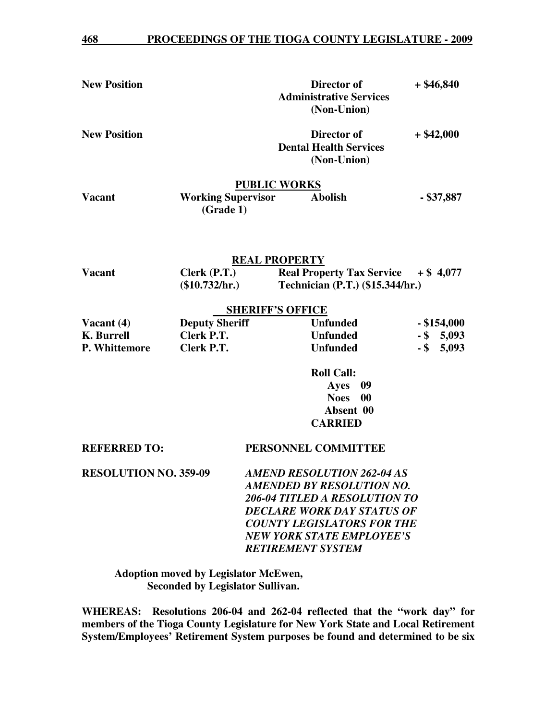| <b>New Position</b>          |                                        |                                   | Director of<br><b>Administrative Services</b><br>(Non-Union)              | $+$ \$46,840    |
|------------------------------|----------------------------------------|-----------------------------------|---------------------------------------------------------------------------|-----------------|
| <b>New Position</b>          |                                        |                                   | Director of<br><b>Dental Health Services</b><br>(Non-Union)               | $+$ \$42,000    |
| <b>Vacant</b>                | <b>Working Supervisor</b><br>(Grade 1) | <b>PUBLIC WORKS</b>               | <b>Abolish</b>                                                            | $-$ \$37,887    |
| <b>REAL PROPERTY</b>         |                                        |                                   |                                                                           |                 |
| <b>Vacant</b>                | Clerk (P.T.)<br>(\$10.732/hr.)         |                                   | Real Property Tax Service $+ $ 4,077$<br>Technician (P.T.) (\$15.344/hr.) |                 |
| <b>SHERIFF'S OFFICE</b>      |                                        |                                   |                                                                           |                 |
| Vacant $(4)$                 | <b>Deputy Sheriff</b>                  |                                   | <b>Unfunded</b>                                                           | $-$ \$154,000   |
| <b>K.</b> Burrell            | Clerk P.T.                             |                                   | <b>Unfunded</b>                                                           | $-$ \$ 5,093    |
| P. Whittemore                | Clerk P.T.                             |                                   | <b>Unfunded</b>                                                           | 5,093<br>$-$ \$ |
|                              |                                        |                                   | <b>Roll Call:</b>                                                         |                 |
|                              |                                        |                                   | Ayes<br>09                                                                |                 |
|                              |                                        |                                   | <b>Noes</b><br>00                                                         |                 |
|                              |                                        |                                   | Absent 00                                                                 |                 |
|                              |                                        |                                   | <b>CARRIED</b>                                                            |                 |
| <b>REFERRED TO:</b>          |                                        |                                   | PERSONNEL COMMITTEE                                                       |                 |
| <b>RESOLUTION NO. 359-09</b> | <b>AMEND RESOLUTION 262-04 AS</b>      |                                   |                                                                           |                 |
|                              | <b>AMENDED BY RESOLUTION NO.</b>       |                                   |                                                                           |                 |
|                              |                                        | 206-04 TITLED A RESOLUTION TO     |                                                                           |                 |
|                              |                                        | <b>DECLARE WORK DAY STATUS OF</b> |                                                                           |                 |
|                              | <b>COUNTY LEGISLATORS FOR THE</b>      |                                   |                                                                           |                 |
|                              | <b>NEW YORK STATE EMPLOYEE'S</b>       |                                   |                                                                           |                 |
| <b>RETIREMENT SYSTEM</b>     |                                        |                                   |                                                                           |                 |

 **Adoption moved by Legislator McEwen, Seconded by Legislator Sullivan.** 

**WHEREAS: Resolutions 206-04 and 262-04 reflected that the "work day" for members of the Tioga County Legislature for New York State and Local Retirement System/Employees' Retirement System purposes be found and determined to be six**